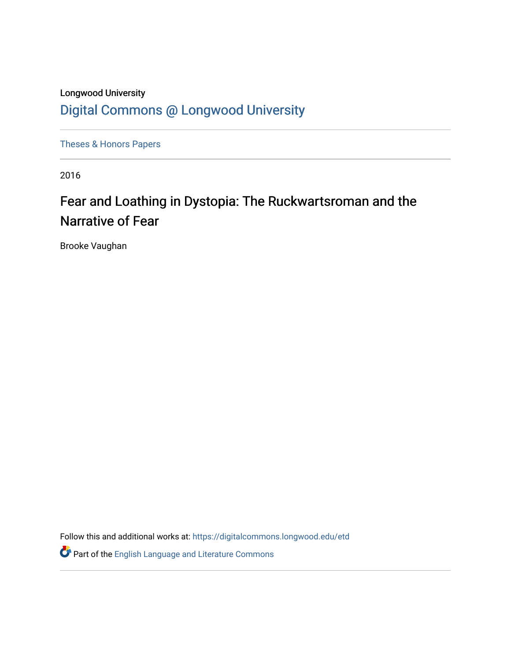## Longwood University [Digital Commons @ Longwood University](https://digitalcommons.longwood.edu/)

[Theses & Honors Papers](https://digitalcommons.longwood.edu/etd) 

2016

# Fear and Loathing in Dystopia: The Ruckwartsroman and the Narrative of Fear

Brooke Vaughan

Follow this and additional works at: [https://digitalcommons.longwood.edu/etd](https://digitalcommons.longwood.edu/etd?utm_source=digitalcommons.longwood.edu%2Fetd%2F543&utm_medium=PDF&utm_campaign=PDFCoverPages)

**P** Part of the [English Language and Literature Commons](http://network.bepress.com/hgg/discipline/455?utm_source=digitalcommons.longwood.edu%2Fetd%2F543&utm_medium=PDF&utm_campaign=PDFCoverPages)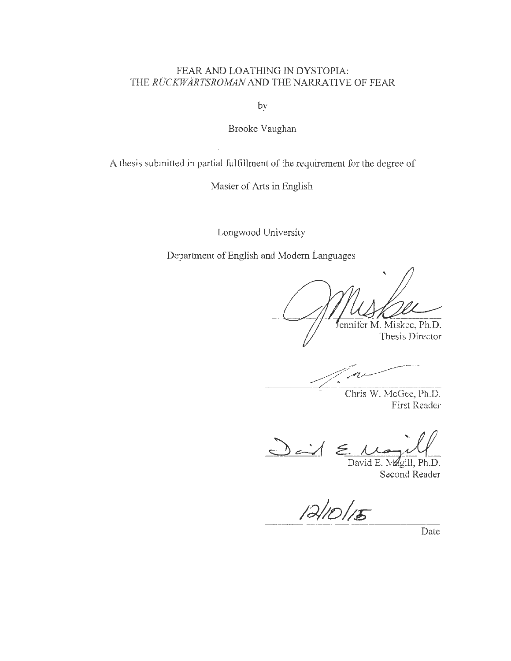### FEAR AND LOATHING IN DYSTOPIA: THE *RUCKWARTSROMAN AND* THE NARRATIVE OF FEAR

by

Brooke Vaughan

A thesis submitted in partial fulfillment of the requirement for the degree of

Master of Arts in English

Longwood University

Department of English and Modern Languages

Jennifer M. Miskec, Ph.D.

Thesis Director

Chris W. McGee, Ph.D. First Reader

 $D - 1$  $\leq$ 

David E. Magill, Ph.D. Second Reader

 $12/10/15$ 

Date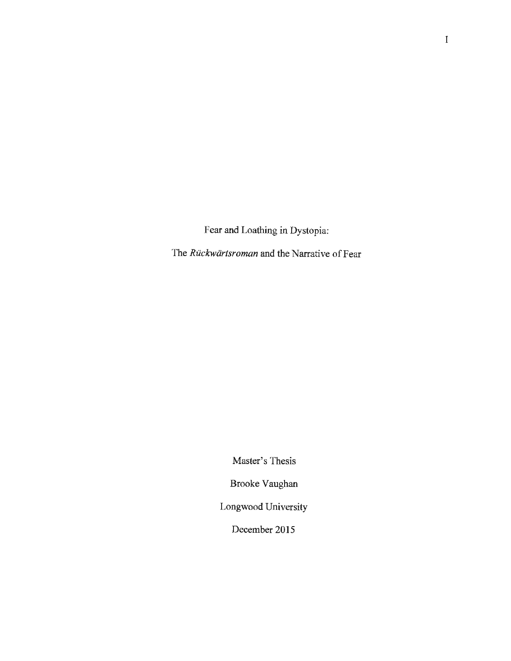Fear and Loathing in Dystopia:

The *Ruckwartsroman* and the Narrative of Fear

Master's Thesis

Brooke Vaughan

Longwood University

December 2015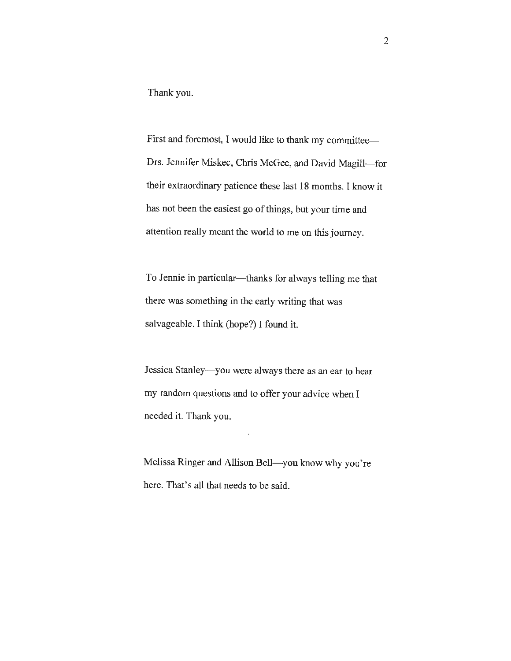Thank you.

First and foremost, I would like to thank my committee-Drs. Jennifer Miskec, Chris McGee, and David Magill-for their extraordinary patience these last 18 months. I know it has not been the easiest go of things, but your time and attention really meant the world to me on this journey.

To Jennie in particular—thanks for always telling me that there was something in the early writing that was salvageable. I think (hope?) I found it.

Jessica Stanley- you were always there as an ear to hear my random questions and to offer your advice when I needed it. Thank you.

Melissa Ringer and Allison Bell-you know why you're here. That's all that needs to be said.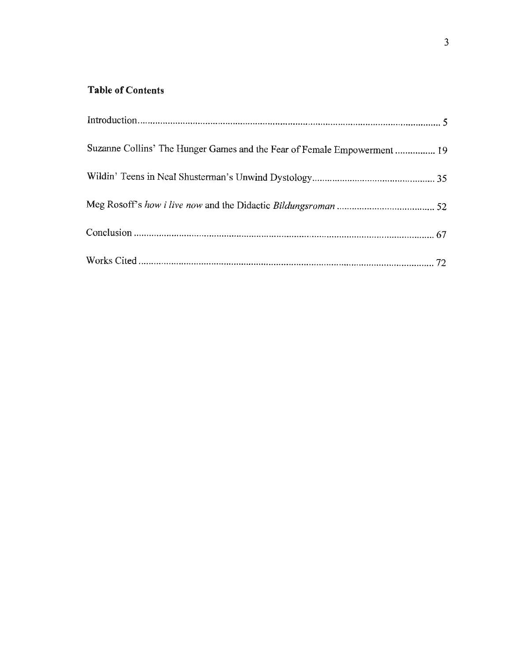### **Table of Contents**

| Suzanne Collins' The Hunger Games and the Fear of Female Empowerment  19 |  |
|--------------------------------------------------------------------------|--|
|                                                                          |  |
|                                                                          |  |
|                                                                          |  |
|                                                                          |  |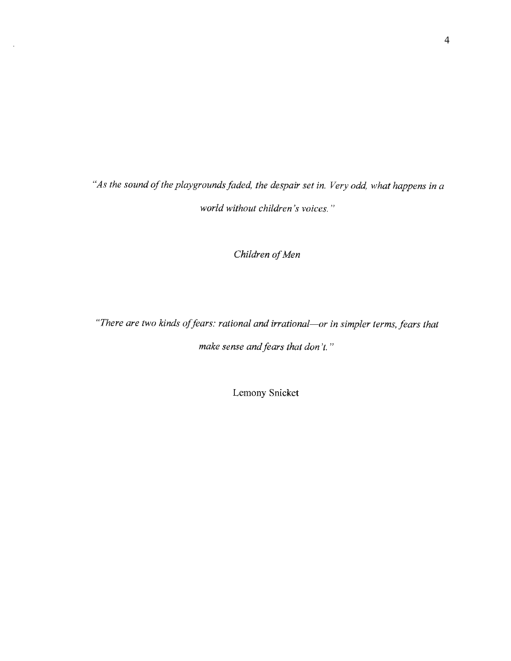*"As the sound of the playgrounds faded, the despair set in. Very odd, what happens in a world without children's voices.* "

*Children of Men* 

*"There are two kinds of fears: rational and irrational-or in simpler terms, fears that make sense and fears that don't."* 

Lemony Snicket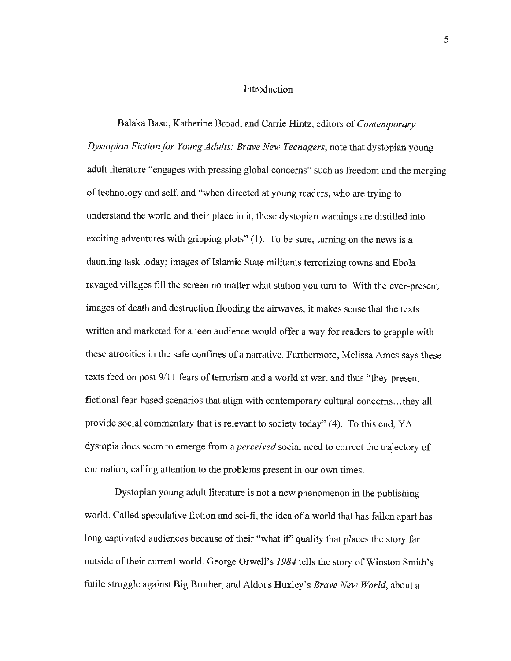### Introduction

Balaka Basu, Katherine Broad, and Carrie Hintz, editors of *Contemporary Dystopian Fiction for Young Adults: Brave New Teenagers,* note that dystopian young adult literature "engages with pressing global concerns" such as freedom and the merging of technology and self, and "when directed at young readers, who are trying to understand the world and their place in it, these dystopian warnings are distilled into exciting adventures with gripping plots" (1). To be sure, turning on the news is a daunting task today; images of Islamic State militants terrorizing towns and Ebola ravaged villages fill the screen no matter what station you turn to. With the ever-present images of death and destruction flooding the airwaves, it makes sense that the texts written and marketed for a teen audience would offer a way for readers to grapple with these atrocities in the safe confines of a narrative. Furthermore, Melissa Ames says these texts feed on post 9/11 fears of terrorism and a world at war, and thus "they present fictional fear-based scenarios that align with contemporary cultural concerns ... they all provide social commentary that is relevant to society today" (4). To this end, YA dystopia does seem to emerge from a *perceived* social need to correct the trajectory of our nation, calling attention to the problems present in our own times.

Dystopian young adult literature is not a new phenomenon in the publishing world. Called speculative fiction and sci-fi, the idea of a world that has fallen apart has long captivated audiences because of their "what if" quality that places the story far outside of their current world. George Orwell's *1984* tells the story of Winston Smith's futile struggle against Big Brother, and Aldous Huxley's *Brave New World,* about a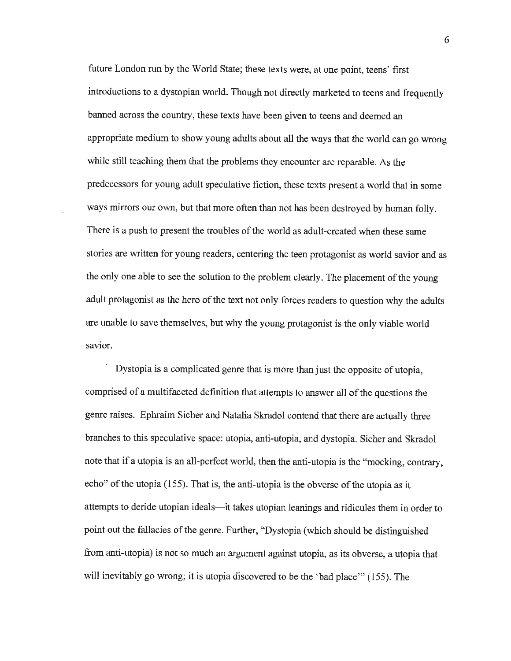future London run by the World State; these texts were, at one point, teens' first introductions to a dystopian world. Though not directly marketed to teens and frequently banned across the country, these texts have been given to teens and deemed an appropriate medium to show young adults about all the ways that the world can go wrong while still teaching them that the problems they encounter are reparable. As the predecessors for young adult speculative fiction, these texts present a world that in some ways mirrors our own, but that more often than not has been destroyed by human folly. There is a push to present the troubles of the world as adult-created when these same stories are written for young readers, centering the teen protagonist as world savior and as the only one able to see the solution to the problem clearly. The placement of the young adult protagonist as the hero of the text not only forces readers to question why the adults are unable to save themselves, but why the young protagonist is the only viable world savior.

Dystopia is a complicated genre that is more than just the opposite of utopia, comprised of a multifaceted definition that attempts to answer all of the questions the genre raises. Ephraim Sicher and Natalia Skradol contend that there are actually three branches to this speculative space: utopia, anti-utopia, and dystopia. Sicher and Skradol note that if a utopia is an all-perfect world, then the anti-utopia is the "mocking, contrary, echo" of the utopia (155). That is, the anti-utopia is the obverse of the utopia as it attempts to deride utopian ideals-it takes utopian leanings and ridicules them in order to point out the fallacies of the genre. Further, "Dystopia (which should be distinguished from anti-utopia) is not so much an argument against utopia, as its obverse, a utopia that will inevitably go wrong; it is utopia discovered to be the 'bad place'" (155). The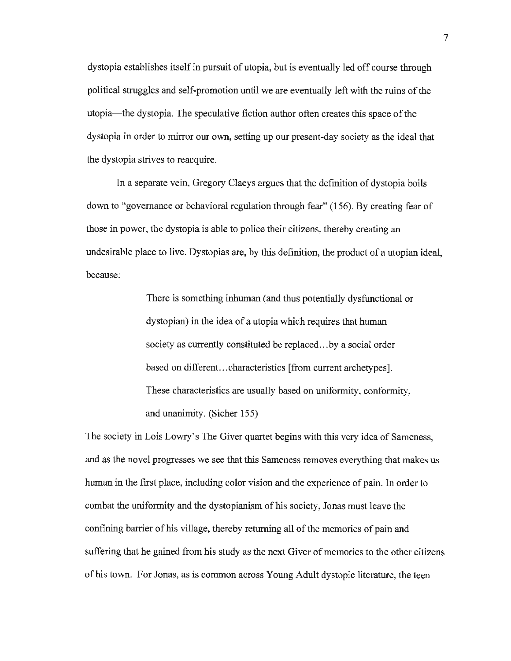dystopia establishes itself in pursuit of utopia, but is eventually led off course through political struggles and self-promotion until we are eventually left with the ruins of the utopia-the dystopia. The speculative fiction author often creates this space of the dystopia in order to mirror our own, setting up our present-day society as the ideal that the dystopia strives to reacquire.

In a separate vein, Gregory Claeys argues that the definition of dystopia boils down to "governance or behavioral regulation through fear" (156). By creating fear of those in power, the dystopia is able to police their citizens, thereby creating an undesirable place to live. Dystopias are, by this definition, the product of a utopian ideal, because:

> There is something inhuman (and thus potentially dysfunctional or dystopian) in the idea of a utopia which requires that human society as currently constituted be replaced...by a social order based on different.. .characteristics [from current archetypes]. These characteristics are usually based on uniformity, conformity, and unanimity. (Sieber 155)

The society in Lois Lowry's The Giver quartet begins with this very idea of Sameness, and as the novel progresses we see that this Sameness removes everything that makes us human in the first place, including color vision and the experience of pain. In order to combat the uniformity and the dystopianism of his society, Jonas must leave the confining barrier of his village, thereby returning all of the memories of pain and suffering that he gained from his study as the next Giver of memories to the other citizens of his town. For Jonas, as is common across Young Adult dystopic literature, the teen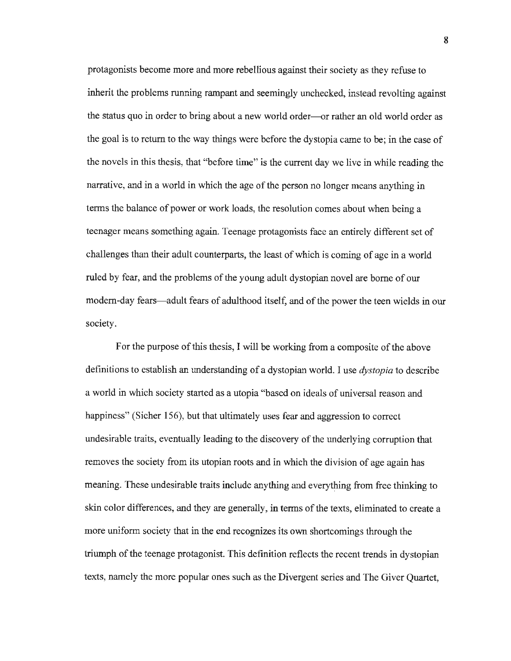protagonists become more and more rebellious against their society as they refuse to inherit the problems running rampant and seemingly unchecked, instead revolting against the status quo in order to bring about a new world order---or rather an old world order as the goal is to return to the way things were before the dystopia came to be; in the case of the novels in this thesis, that "before time" is the current day we live in while reading the narrative, and in a world in which the age of the person no longer means anything in terms the balance of power or work loads, the resolution comes about when being a teenager means something again. Teenage protagonists face an entirely different set of challenges than their adult counterparts, the least of which is coming of age in a world ruled by fear, and the problems of the young adult dystopian novel are borne of our modern-day fears-adult fears of adulthood itself, and of the power the teen wields in our society.

For the purpose of this thesis, I will be working from a composite of the above definitions to establish an understanding of a dystopian world. I use *dystopia* to describe a world in which society started as a utopia "based on ideals of universal reason and happiness" (Sicher 156), but that ultimately uses fear and aggression to correct undesirable traits, eventually leading to the discovery of the underlying corruption that removes the society from its utopian roots and in which the division of age again has meaning. These undesirable traits include anything and everything from free thinking to skin color differences, and they are generally, in terms of the texts, eliminated to create a more uniform society that in the end recognizes its own shortcomings through the triumph of the teenage protagonist. This definition reflects the recent trends in dystopian texts, namely the more popular ones such as the Divergent series and The Giver Quartet,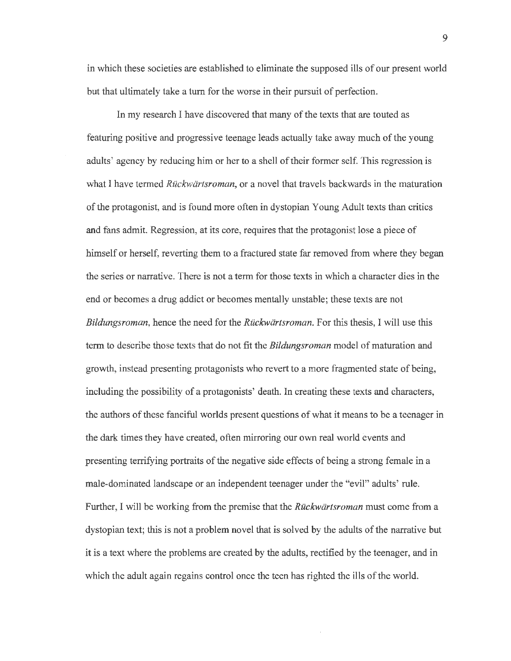in which these societies are established to eliminate the supposed ills of our present world but that ultimately take a turn for the worse in their pursuit of perfection.

In my research I have discovered that many of the texts that are touted as featuring positive and progressive teenage leads actually take away much of the young adults' agency by reducing him or her to a shell of their former self. This regression is what I have termed *Ruckwartsroman,* or a novel that travels backwards in the maturation of the protagonist, and is found more often in dystopian Young Adult texts than critics and fans admit. Regression, at its core, requires that the protagonist lose a piece of himself or herself, reverting them to a fractured state far removed from where they began the series or narrative. There is not a term for those texts in which a character dies **in the**  end or becomes a drug addict or becomes mentally unstable; these texts are not *Bildungsroman,* hence the need for the *Ruckwartsroman.* For this thesis, I will use this term to describe those texts that do not fit the *Bildungsroman* model of maturation and growth, instead presenting protagonists who revert to a more fragmented state of being, including the possibility of a protagonists' death. In creating these texts and characters, the authors of these fanciful worlds present questions of what it means to be a teenager in the dark times they have created, often mirroring our own real world events and presenting terrifying portraits of the negative side effects of being a strong female in a male-dominated landscape or an independent teenager under the "evil" adults' rule. Further, I will be working from the premise that the *Ruckwartsroman* must come from a dystopian text; this is not a problem novel that is solved by the adults of the narrative but it is a text where the problems are created by the adults, rectified by the teenager, and in which the adult again regains control once the teen has righted the ills of the world.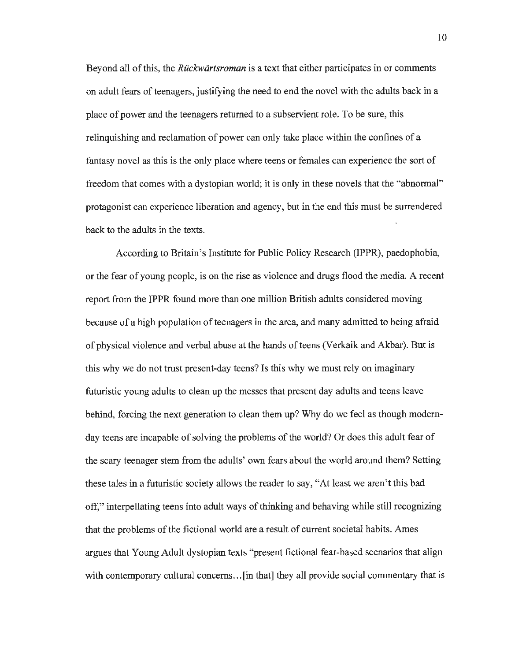Beyond all of this, the *Ruckwartsroman* is a text that either participates in or comments on adult fears of teenagers, justifying the need to end the novel with the adults back in a place of power and the teenagers returned to a subservient role. To be sure, this relinquishing and reclamation of power can only take place within the confines of a fantasy novel as this is the only place where teens or females can experience the sort of freedom that comes with a dystopian world; it is only in these novels that the "abnormal" protagonist can experience liberation and agency, but in the end this must be surrendered back to the adults in the texts.

According to Britain's Institute for Public Policy Research (IPPR), paedophobia, or the fear of young people, is on the rise as violence and drugs flood the media. A recent report from the IPPR found more than one million British adults considered moving because of a high population of teenagers in the area, and many admitted to being afraid of physical violence and verbal abuse at the hands of teens (Verkaik and Akbar). But is this why we do not trust present-day teens? Is this why we must rely on imaginary futuristic young adults to clean up the messes that present day adults and teens leave behind, forcing the next generation to clean them up? Why do we feel as though modernday teens are incapable of solving the problems of the world? Or does this adult fear of the scary teenager stem from the adults' own fears about the world around them? Setting these tales in a futuristic society allows the reader to say, "At least we aren't this bad off," interpellating teens into adult ways of thinking and behaving while still recognizing that the problems of the fictional world are a result of current societal habits. Ames argues that Young Adult dystopian texts "present fictional fear-based scenarios that align with contemporary cultural concerns... [in that] they all provide social commentary that is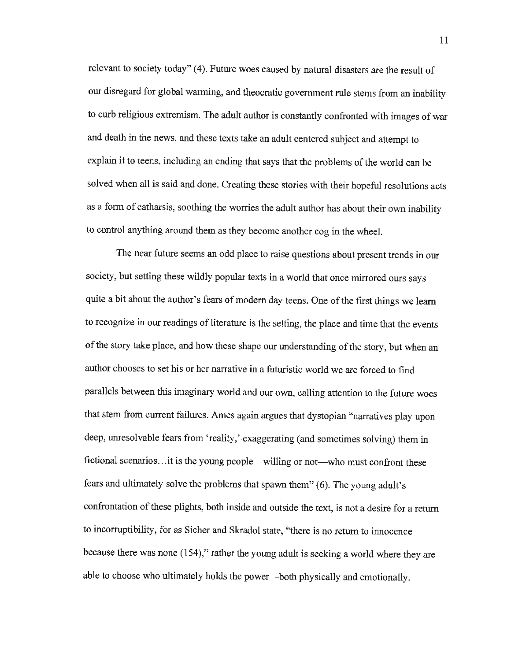relevant to society today" (4). Future woes caused by natural disasters are the result of our disregard for global warming, and theocratic government rule stems from an inability to curb religious extremism. The adult author is constantly confronted with images of war and death in the news, and these texts take an adult centered subject and attempt to explain it to teens, including an ending that says that the problems of the world can be solved when all is said and done. Creating these stories with their hopeful resolutions acts as a form of catharsis, soothing the worries the adult author has about their own inability to control anything around them as they become another cog in the wheel.

The near future seems an odd place to raise questions about present trends in our society, but setting these wildly popular texts in a world that once mirrored ours says quite a bit about the author's fears of modern day teens. One of the first things we learn to recognize in our readings of literature is the setting, the place and time that the events of the story take place, and how these shape our understanding of the story, but when an author chooses to set his or her narrative in a futuristic world we are forced to find parallels between this imaginary world and our own, calling attention to the future woes that stem from current failures. Ames again argues that dystopian "narratives play upon deep, unresolvable fears from 'reality,' exaggerating (and sometimes solving) them in fictional scenarios...it is the young people—willing or not-who must confront these fears and ultimately solve the problems that spawn them" (6). The young adult's confrontation of these plights, both inside and outside the text, is not a desire for a return to incorruptibility, for as Sicher and Skradol state, "there is no return to innocence because there was none (154)," rather the young adult is seeking a world where they are able to choose who ultimately holds the power--both physically and emotionally.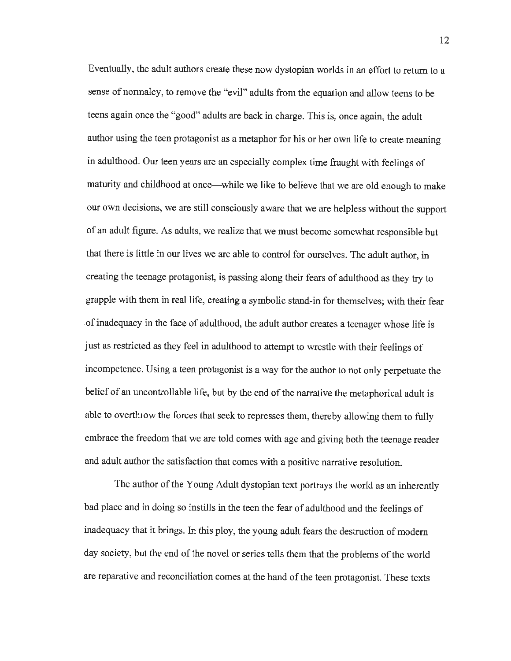Eventually, the adult authors create these now dystopian worlds in an effort to return to a sense of normalcy, to remove the "evil" adults from the equation and allow teens to be teens again once the "good" adults are back in charge. This is, once again, the adult author using the teen protagonist as a metaphor for his or her own life to create meaning in adulthood. Our teen years are an especially complex time fraught with feelings of maturity and childhood at once—while we like to believe that we are old enough to make our own decisions, we are still consciously aware that we are helpless without the support of an adult figure. As adults, we realize that we must become somewhat responsible but that there is little in our lives we are able to control for ourselves. The adult author, in creating the teenage protagonist, is passing along their fears of adulthood as they try to grapple with them in real life, creating a symbolic stand-in for themselves; with their fear of inadequacy in the face of adulthood, the adult author creates a teenager whose life is just as restricted as they feel in adulthood to attempt to wrestle with their feelings of incompetence. Using a teen protagonist is a way for the author to not only perpetuate the belief of an uncontrollable life, but by the end of the narrative the metaphorical adult is able to overthrow the forces that seek to represses them, thereby allowing them to fully embrace the freedom that we are told comes with age and giving both the teenage reader and adult author the satisfaction that comes with a positive narrative resolution.

The author of the Young Adult dystopian text portrays the world as an inherently bad place and in doing so instills in the teen the fear of adulthood and the feelings of inadequacy that it brings. In this ploy, the young adult fears the destruction of modern day society, but the end of the novel or series tells them that the problems of the world are reparative and reconciliation comes at the hand of the teen protagonist. These texts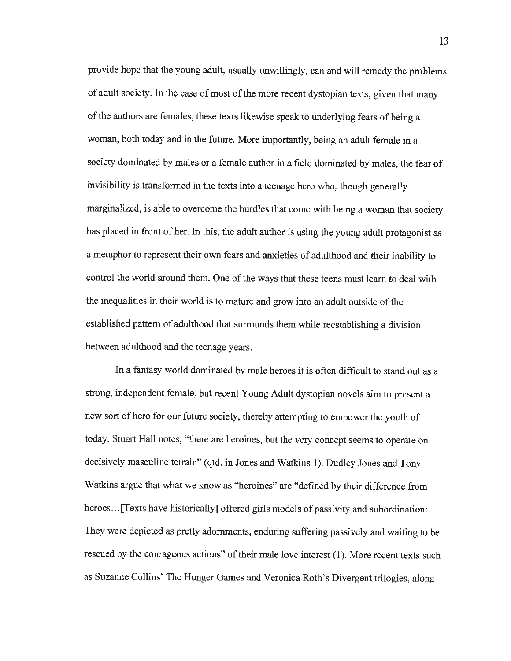provide hope that the young adult, usually unwillingly, can and will remedy the problems of adult society. In the case of most of the more recent dystopian texts, given that many of the authors are females, these texts likewise speak to underlying fears of being a woman, both today and in the future. More importantly, being an adult female in a society dominated by males or a female author in a field dominated by males, the fear of invisibility is transformed in the texts into a teenage hero who, though generally marginalized, is able to overcome the hurdles that come with being a woman that society has placed in front of her. In this, the adult author is using the young adult protagonist as a metaphor to represent their own fears and anxieties of adulthood and their inability to control the world around them. One of the ways that these teens must learn to deal with the inequalities in their world is to mature and grow into an adult outside of the established pattern of adulthood that surrounds them while reestablishing a division between adulthood and the teenage years.

In a fantasy world dominated by male heroes it is often difficult to stand out as a strong, independent female, but recent Young Adult dystopian novels aim to present a new sort of hero for our future society, thereby attempting to empower the youth of today. Stuart Hall notes, "there are heroines, but the very concept seems to operate on decisively masculine terrain" (qtd. in Jones and Watkins 1). Dudley Jones and Tony Watkins argue that what we know as "heroines" are "defined by their difference from heroes ... [Texts have historically] offered girls models of passivity and subordination: They were depicted as pretty adornments, enduring suffering passively and waiting to be rescued by the courageous actions" of their male love interest (1). More recent texts such as Suzanne Collins' The Hunger Games and Veronica Roth's Divergent trilogies, along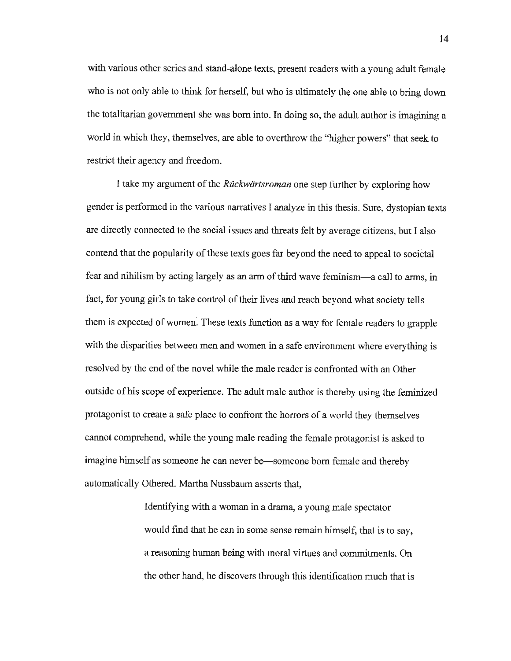with various other series and stand-alone texts, present readers with a young adult female who is not only able to think for herself, but who is ultimately the one able to bring down the totalitarian government she was born into. In doing so, the adult author is imagining a world in which they, themselves, are able to overthrow the "higher powers" that seek to restrict their agency and freedom.

I take my argument of the *Ruckwartsroman* one step further by exploring how gender is performed in the various narratives I analyze in this thesis. Sure, dystopian texts are directly connected to the social issues and threats felt by average citizens, but I also contend that the popularity of these texts goes far beyond the need to appeal to societal fear and nihilism by acting largely as an arm of third wave feminism-a call to arms, in fact, for young girls to take control of their lives and reach beyond what society tells them is expected of women. These texts function as a way for female readers to grapple with the disparities between men and women in a safe environment where everything is resolved by the end of the novel while the male reader is confronted with an Other outside of his scope of experience. The adult male author is thereby using the feminized protagonist to create a safe place to confront the horrors of a world they themselves cannot comprehend, while the young male reading the female protagonist is asked to imagine himself as someone he can never be—someone born female and thereby automatically Othered. Martha Nussbaum asserts that,

> Identifying with a woman in a drama, a young male spectator would find that he can in some sense remain himself, that is to say, a reasoning human being with moral virtues and commitments. On the other hand, he discovers through this identification much that is

14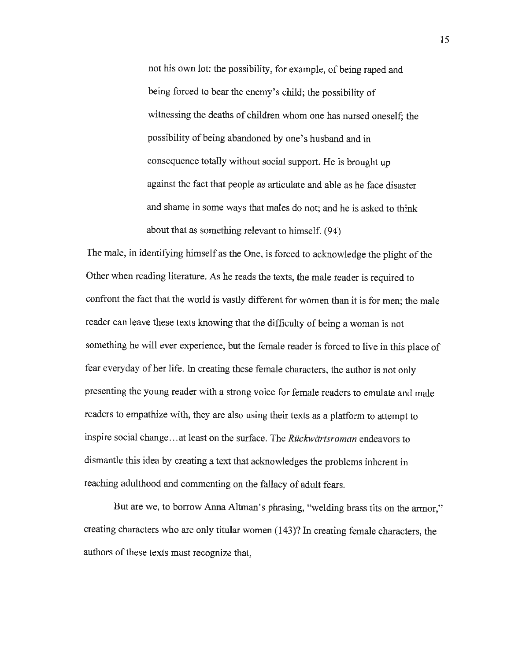not his own lot: the possibility, for example, of being raped and being forced to bear the enemy's child; the possibility of witnessing the deaths of children whom one has nursed oneself; the possibility of being abandoned by one's husband and in consequence totally without social support. He is brought up against the fact that people as articulate and able as he face disaster and shame in some ways that males do not; and he is asked to think about that as something relevant to himself. (94)

The male, in identifying himself as the One, is forced to acknowledge the plight of the Other when reading literature. As he reads the texts, the male reader is required to confront the fact that the world is vastly different for women than it is for men; the male reader can leave these texts knowing that the difficulty of being a woman is not something he will ever experience, but the female reader is forced to live in this place of fear everyday of her life. In creating these female characters, the author is not only presenting the young reader with a strong voice for female readers to emulate and male readers to empathize with, they are also using their texts as a platform to attempt to inspire social change ... at least on the surface. The *Ruckwartsroman* endeavors to dismantle this idea by creating a text that acknowledges the problems inherent in reaching adulthood and commenting on the fallacy of adult fears.

But are we, to borrow Anna Altman's phrasing, "welding brass tits on the armor," creating characters who are only titular women (143)? In creating female characters, the authors of these texts must recognize that,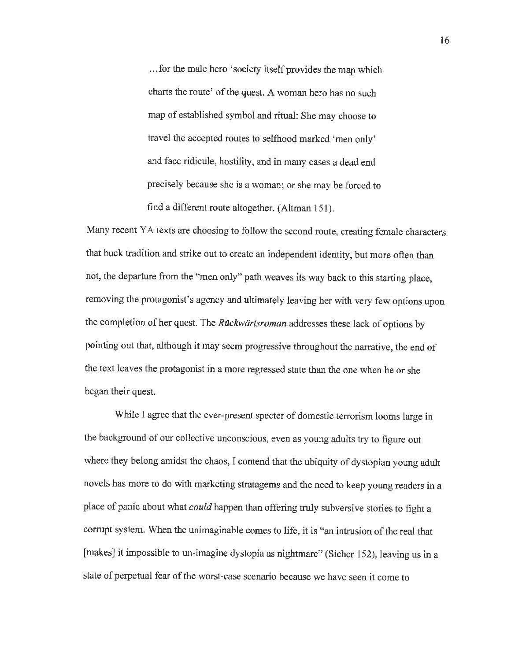... for the male hero 'society itself provides the map which charts the route' of the quest. A woman hero has no such map of established symbol and ritual: She may choose to travel the accepted routes to selfhood marked 'men only' and face ridicule, hostility, and in many cases a dead end precisely because she is a woman; or she may be forced to find a different route altogether. (Altman 151).

Many recent YA texts are choosing to follow the second route, creating female characters that buck tradition and strike out to create an independent identity, but more often than not, the departure from the "men only" path weaves its way back to this starting place, removing the protagonist's agency and ultimately leaving her with very few options upon the completion of her quest. The *Ruckwartsroman* addresses these lack of options by pointing out that, although it may seem progressive throughout the narrative, the end of the text leaves the protagonist **in** a more regressed state than the one when he or she began their quest.

While I agree that the ever-present specter of domestic terrorism looms large in the background of our collective unconscious, even as young adults try to figure out where they belong amidst the chaos, I contend that the ubiquity of dystopian young adult novels has more to do with marketing stratagems and the need to keep young readers in a place of panic about what *could* happen than offering truly subversive stories to fight a corrupt system. When the unimaginable comes to life, it is "an intrusion of the real that [makes] it impossible to un-imagine dystopia as nightmare" (Sicher 152), leaving us in a state of perpetual fear of the worst-case scenario because we have seen it come to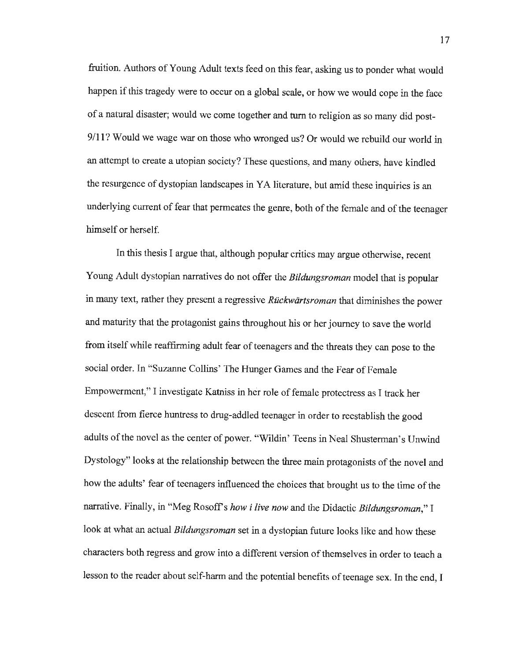fruition. Authors of Young Adult texts feed on this fear, asking us to ponder what would happen if this tragedy were to occur on a global scale, or how we would cope in the face of a natural disaster; would we come together and turn to religion as so many did post-**9/11?** Would we wage war on those who wronged us? Or would we rebuild our world in an attempt to create a utopian society? These questions, and many others, have kindled the resurgence of dystopian landscapes in YA literature, but amid these inquiries is an underlying current of fear that permeates the genre, both of the female and of the teenager himself or herself.

In this thesis I argue that, although popular critics may argue otherwise, recent Young Adult dystopian narratives do not offer the *Bildungsroman* model that is popular in many text, rather they present a regressive *Ruckwartsroman* that diminishes the power and maturity that the protagonist gains throughout his or her journey to save the world from itself while reaffirming adult fear of teenagers and the threats they can pose to the social order. In "Suzanne Collins' The Hunger Games and the Fear of Female Empowerment," I investigate Katniss in her role of female protectress as I track her descent from fierce huntress to drug-addled teenager in order to reestablish the good adults of the novel as the center of power. "Wildin' Teens in Neal Shusterman's Unwind Dystology" looks at the relationship between the three main protagonists of the novel and how the adults' fear of teenagers influenced the choices that brought us to the time of the narrative. Finally, in "Meg Rosoff's *how i live now* and the Didactic *Bildungsroman,"* I look at what an actual *Bildungsroman* set in a dystopian future looks like and how these characters both regress and grow into a different version of themselves in order to teach a lesson to the reader about self-harm and the potential benefits of teenage sex. In the end, I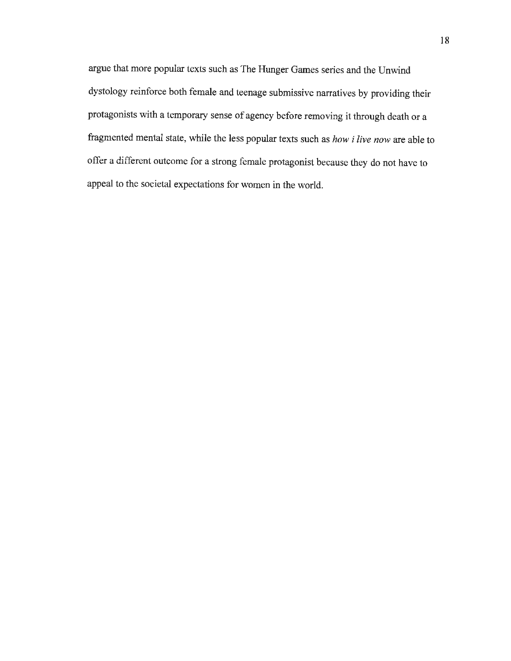argue that more popular texts such as The Hunger Games series and the Unwind dystology reinforce both female and teenage submissive narratives by providing their protagonists with a temporary sense of agency before removing it through death or a fragmented mental state, while the less popular texts such as *how i live now* are able to offer a different outcome for a strong female protagonist because they do not have to appeal to the societal expectations for women in the world.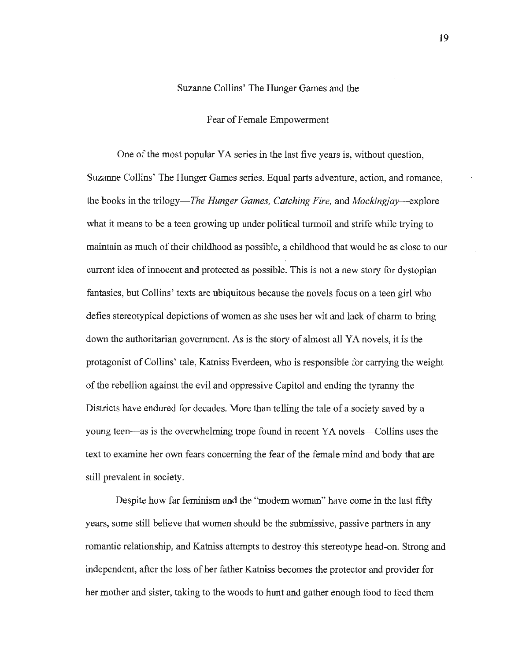### Suzanne Collins' The Hunger Games and the

### Fear of Female Empowerment

One of the most popular YA series in the last five years is, without question, Suzanne Collins' The Hunger Games series. Equal parts adventure, action, and romance, the books in the *trilogy-The Hunger Games, Catching Fire,* and *Mockingjay -- explore* what it means to be a teen growing up under political turmoil and strife while trying to maintain as much of their childhood as possible, a childhood that would be as close to our current idea of innocent and protected as possible. This is not a new story for dystopian fantasies, but Collins' texts are ubiquitous because the novels focus on a teen girl who defies stereotypical depictions of women as she uses her wit and lack of charm to bring down the authoritarian government. As is the story of almost all YA novels, it is the protagonist of Collins' tale, Katniss Everdeen, who is responsible for carrying the weight of the rebellion against the evil and oppressive Capitol and ending the tyranny the Districts have endured for decades. More than telling the tale of a society saved by a young teen—as is the overwhelming trope found in recent YA novels—Collins uses the text to examine her own fears concerning the fear of the female mind and body that are still prevalent in society.

Despite how far feminism and the "modem woman" have come in the last fifty years, some still believe that women should be the submissive, passive partners in any romantic relationship, and Katniss attempts to destroy this stereotype head-on. Strong and independent, after the loss of her father Katniss becomes the protector and provider for her mother and sister, taking to the woods to hunt and gather enough food to feed them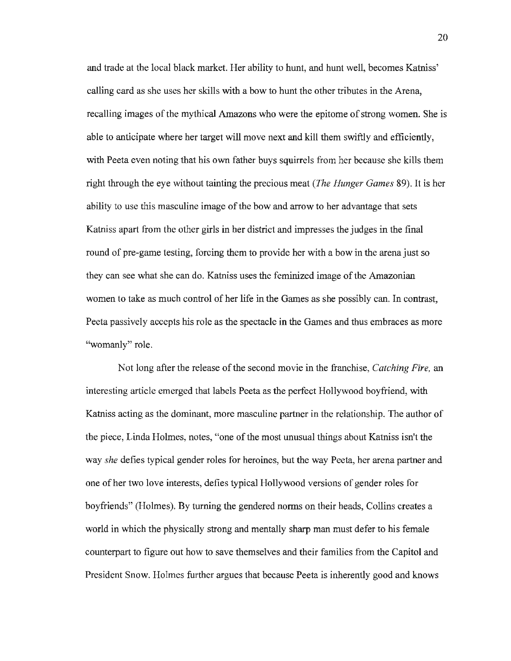and trade at the local black market. Her ability to hunt, and hunt well, becomes Katniss' calling card as she uses her skills with a bow to hunt the other tributes in the Arena, recalling images of the mythical Amazons who were the epitome of strong women. She is able to anticipate where her target will move next and kill them swiftly and efficiently, with Peeta even noting that his own father buys squirrels from her because she kills them right through the eye without tainting the precious meat *(The Hunger Games* 89). It is her ability to use this masculine image of the bow and arrow to her advantage that sets Katniss apart from the other girls in her district and impresses the judges in the final round of pre-game testing, forcing them to provide her with a bow in the arena just so they can see what she can do. Katniss uses the feminized image of the Amazonian women to take as much control of her life in the Games as she possibly can. In contrast, Peeta passively accepts his role as the spectacle in the Games and thus embraces as more "womanly" role.

Not long after the release of the second movie in the franchise, *Catching Fire,* an interesting article emerged that labels Peeta as the perfect Hollywood boyfriend, with Katniss acting as the dominant, more masculine partner in the relationship. The author of the piece, Linda Holmes, notes, "one of the most unusual things about Katniss isn't the way *she* defies typical gender roles for heroines, but the way Peeta, her arena partner and one of her two love interests, defies typical Hollywood versions of gender roles for boyfriends" (Holmes). By turning the gendered norms on their heads, Collins creates a world in which the physically strong and mentally sharp man must defer to his female counterpart to figure out how to save themselves and their families from the Capitol and President Snow. Holmes further argues that because Peeta is inherently good and knows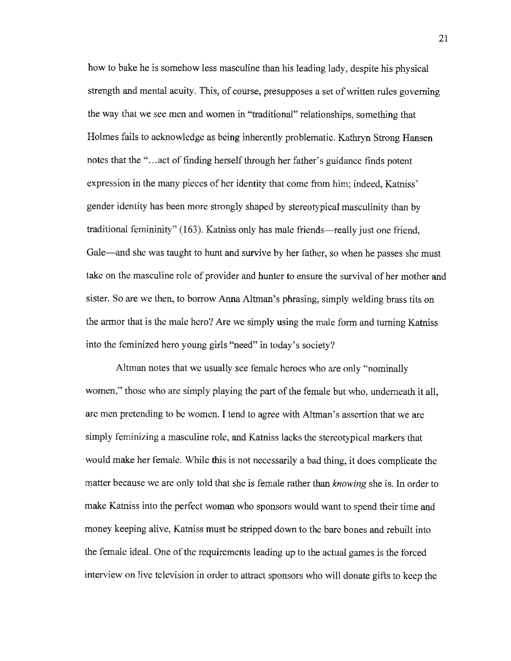how to bake he is somehow less masculine than his leading lady, despite his physical strength and mental acuity. This, of course, presupposes a set of written rules governing the way that we see men and women in "traditional" relationships, something that Holmes fails to acknowledge as being inherently problematic. Kathryn Strong Hansen notes that the "... act of finding herself through her father's guidance finds potent expression in the many pieces of her identity that come from him; indeed, Katniss' gender identity has been more strongly shaped by stereotypical masculinity than by traditional femininity" (163). Katniss only has male friends—really just one friend, Gale-and she was taught to hunt and survive by her father, so when he passes she must take on the masculine role of provider and hunter to ensure the survival of her mother and sister. So are we then, to borrow Anna Altman's phrasing, simply welding brass tits on the armor that is the male hero? Are we simply using the male form and turning Katniss into the feminized hero young girls "need" in today's society?

Altman notes that we usually see female heroes who are only "nominally women," those who are simply playing the part of the female but who, underneath it all, are men pretending to be women. I tend to agree with Altman's assertion that we are simply feminizing a masculine role, and Katniss lacks the stereotypical markers that would make her female. While this is not necessarily a bad thing, it does complicate the matter because we are only told that she is female rather than *knowing* she is. In order to make Katniss into the perfect woman who sponsors would want to spend their time and money keeping alive, Katniss must be stripped down to the bare bones and rebuilt into the female ideal. One of the requirements leading up to the actual games is the forced interview on live television in order to attract sponsors who will donate gifts to keep the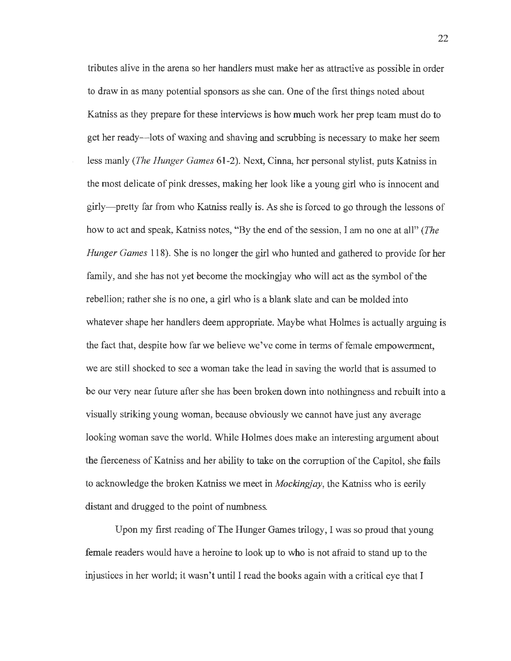tributes alive in the arena so her handlers must make her as attractive as possible in order to draw in as many potential sponsors as she can. One of the first things noted about Katniss as they prepare for these interviews is how much work her prep team must do to get her ready-lots of waxing and shaving and scrubbing is necessary to make her seem less manly *(The Hunger Games* 61-2). Next, Cinna, her personal stylist, puts Katniss in the most delicate of pink dresses, making her look like a young girl who is innocent and girly-pretty far from who Katniss really is. As she is forced to go through the lessons of how to act and speak, Katniss notes, "By the end of the session, I am no one at all" *(The Hunger Games* 118). She is no longer the girl who hunted and gathered to provide for her family, and she has not yet become the mockingjay who will act as the symbol of the rebellion; rather she is no one, a girl who is a blank slate and can be molded into whatever shape her handlers deem appropriate. Maybe what Holmes is actually arguing is the fact that, despite how far we believe we've come in terms of female empowerment, we are still shocked to see a woman take the lead in saving the world that is assumed to be our very near future after she has been broken down into nothingness and rebuilt into a visually striking young woman, because obviously we cannot have just any average looking woman save the world. While Holmes does make an interesting argument about the fierceness of Katniss and her ability to take on the corruption of the Capitol, she fails to acknowledge the broken Katniss we meet in *Mockingjay,* the Katniss who is eerily distant and drugged to the point of numbness.

Upon my first reading of The Hunger Games trilogy, I was so proud that young female readers would have a heroine to look up to who is not afraid to stand up to the injustices in her world; it wasn't until I read the books again with a critical eye that I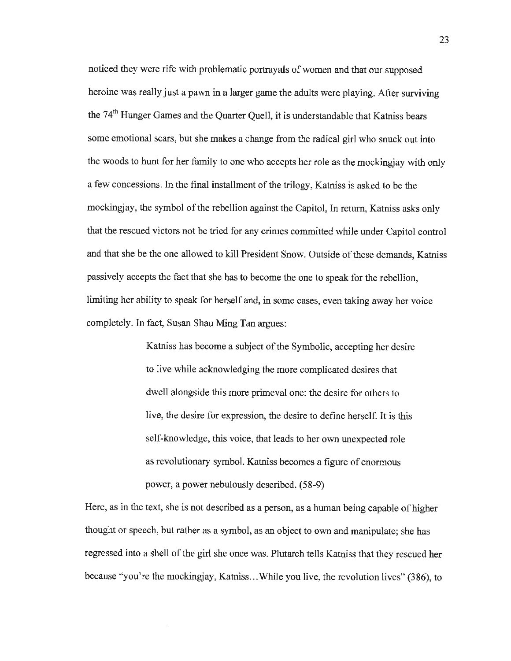noticed they were rife with problematic portrayals of women and that our supposed heroine was really just a pawn in a larger game the adults were playing. After surviving the 74<sup>th</sup> Hunger Games and the Quarter Quell, it is understandable that Katniss bears some emotional scars, but she makes a change from the radical girl who snuck out into the woods to hunt for her family to one who accepts her role as the mockingjay with only a few concessions. In the final installment of the trilogy, Katniss is asked to be the mockingjay, the symbol of the rebellion against the Capitol, In return, Katniss asks only that the rescued victors not be tried for any crimes committed while under Capitol control and that she be the one allowed to kill President Snow. Outside of these demands, Katniss passively accepts the fact that she has to become the one to speak for the rebellion, limiting her ability to speak for herself and, in some cases, even taking away her voice completely. In fact, Susan Shau Ming Tan argues:

> Katniss has become a subject of the Symbolic, accepting her desire to live while acknowledging the more complicated desires that dwell alongside this more primeval one: the desire for others to live, the desire for expression, the desire to define herself. It is this self-knowledge, this voice, that leads to her own unexpected role as revolutionary symbol. Katniss becomes a figure of enormous power, a power nebulously described. (58-9)

Here, as in the text, she is not described as a person, as a human being capable of higher thought or speech, but rather as a symbol, as an object to own and manipulate; she has regressed into a shell of the girl she once was. Plutarch tells Katniss that they rescued her because "you're the mockingjay, Katniss... While you live, the revolution lives" (386), to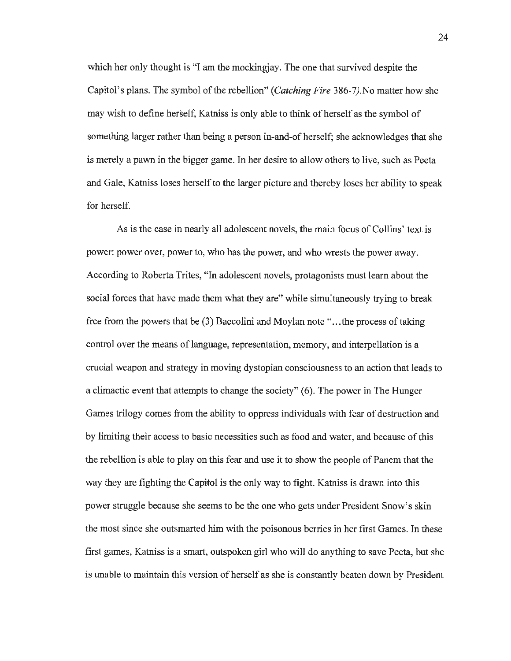which her only thought is "I am the mockingjay. The one that survived despite the Capitol's plans. The symbol of the rebellion" *(Catching Fire* 386-7).No matter how she may wish to define herself, Katniss is only able to think of herself as the symbol of something larger rather than being a person in-and-of herself; she acknowledges that she is merely a pawn in the bigger game. In her desire to allow others to live, such as Peeta and Gale, Katniss loses herself to the larger picture and thereby loses her ability to speak for herself.

As is the case in nearly all adolescent novels, the main focus of Collins' text is power: power over, power to, who has the power, and who wrests the power away. According to Roberta Trites, "In adolescent novels, protagonists must learn about the social forces that have made them what they are" while simultaneously trying to break free from the powers that be (3) Baccolini and Moylan note " ... the process of taking control over the means of language, representation, memory, and interpellation is a crucial weapon and strategy in moving dystopian consciousness to an action that leads to a climactic event that attempts to change the society" (6). The power in The Hunger Games trilogy comes from the ability to oppress individuals with fear of destruction and by limiting their access to basic necessities such as food and water, and because of this the rebellion is able to play on this fear and use it to show the people of Panem that the way they are fighting the Capitol is the only way to fight. Katniss is drawn into this power struggle because she seems to be the one who gets under President Snow's skin the most since she outsmarted him with the poisonous berries in her first Games. In these first games, Katniss is a smart, outspoken girl who will do anything to save Peeta, but she is unable to maintain this version of herself as she is constantly beaten down by President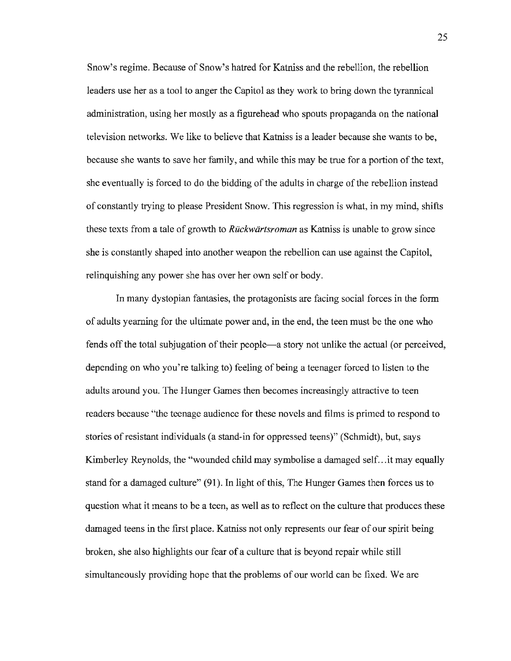Snow's regime. Because of Snow's hatred for Katniss and the rebellion, the rebellion leaders use her as a tool to anger the Capitol as they work to bring down the tyrannical administration, using her mostly as a figurehead who spouts propaganda on the national television networks. We like to believe that Katniss is a leader because she wants to be, because she wants to save her family, and while this may be true for a portion of the text, she eventually is forced to do the bidding of the adults in charge of the rebellion instead of constantly trying to please President Snow. This regression is what, in my mind, shifts these texts from a tale of growth to *Ruckwartsroman* as Katniss is unable to grow since she is constantly shaped into another weapon the rebellion can use against the Capitol, relinquishing any power she has over her own self or body.

In many dystopian fantasies, the protagonists are facing social forces in the form of adults yearning for the ultimate power and, in the end, the teen must be the one who fends off the total subjugation of their people-a story not unlike the actual (or perceived, depending on who you're talking to) feeling of being a teenager forced to listen to the adults around you. The Hunger Games then becomes increasingly attractive to teen readers because "the teenage audience for these novels and films is primed to respond to stories of resistant individuals (a stand-in for oppressed teens)" (Schmidt), but, says Kimberley Reynolds, the "wounded child may symbolise a damaged self... it may equally stand for a damaged culture" (91). In light of this, The Hunger Games then forces us to question what it means to be a teen, as well as to reflect on the culture that produces these damaged teens in the first place. Katniss not only represents our fear of our spirit being broken, she also highlights our fear of a culture that is beyond repair while still simultaneously providing hope that the problems of our world can be fixed. We are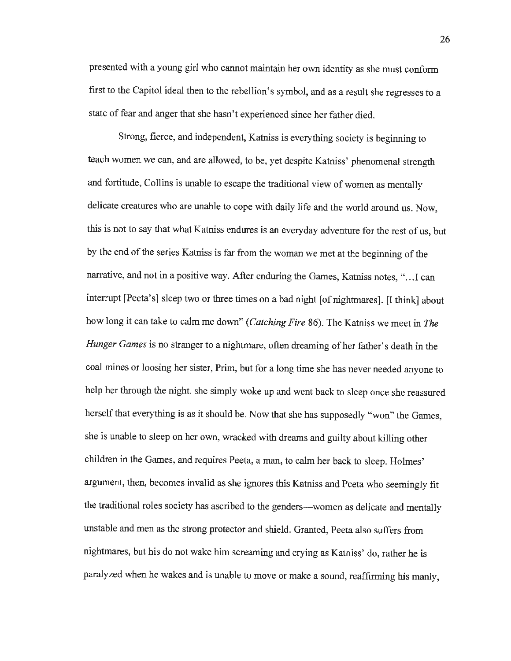presented with a young girl who cannot maintain her own identity as she must conform first to the Capitol ideal then to the rebellion's symbol, and as a result she regresses to a state of fear and anger that she hasn't experienced since her father died.

Strong, fierce, and independent, Katniss is everything society is beginning to teach women we can, and are allowed, to be, yet despite Katniss' phenomenal strength and fortitude, Collins is unable to escape the traditional view of women as mentally delicate creatures who are unable to cope with daily life and the world around us. Now, this is not to say that what Katniss endures is an everyday adventure for the rest of us, but by the end of the series Katniss is far from the woman we met at the beginning of the narrative, and not in a positive way. After enduring the Games, Katniss notes, " .. .I can interrupt [Peeta's] sleep two or three times on a bad night [of nightmares]. [I think] about how long it can take to calm me down" *(Catching Fire* 86). The Katniss we meet in *The Hunger Games* is no stranger to a nightmare, often dreaming of her father's death in the coal mines or loosing her sister, Prim, but for a long time she has never needed anyone to help her through the night, she simply woke up and went back to sleep once she reassured herself that everything is as it should be. Now that she has supposedly "won" the Games, she is unable to sleep on her own, wracked with dreams and guilty about killing other children in the Games, and requires Peeta, a man, to calm her back to sleep. Holmes' argument, then, becomes invalid as she ignores this Katniss and Peeta who seemingly fit the traditional roles society has ascribed to the genders-women as delicate and mentally unstable and men as the strong protector and shield. Granted, Peeta also suffers from nightmares, but his do not wake him screaming and crying as Katniss' do, rather he is paralyzed when he wakes and is unable to move or make a sound, reaffirming his manly,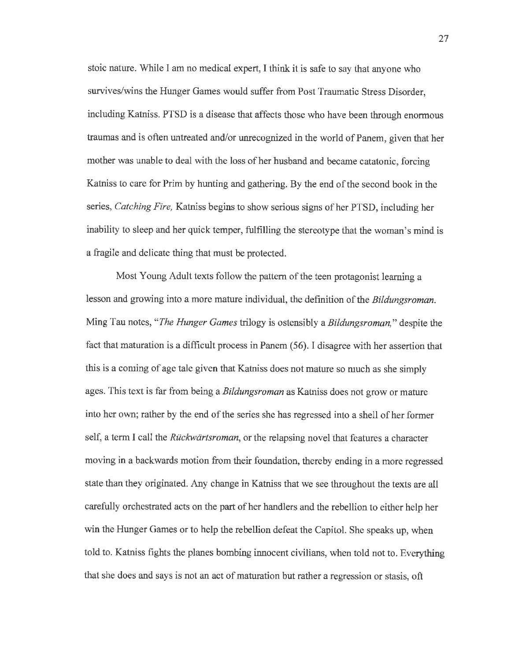stoic nature. While I am no medical expert, I think it is safe to say that anyone who survives/wins the Hunger Games would suffer from Post Traumatic Stress Disorder, including Katniss. PTSD is a disease that affects those who have been through enormous traumas and is often untreated and/or unrecognized in the world of Panem, given that her mother was unable to deal with the loss of her husband and became catatonic, forcing Katniss to care for Prim by hunting and gathering. By the end of the second book in the series, *Catching Fire,* Katniss begins to show serious signs of her PTSD, including her inability to sleep and her quick temper, fulfilling the stereotype that the woman's mind is a fragile and delicate thing that must be protected.

Most Young Adult texts follow the pattern of the teen protagonist learning a lesson and growing into a more mature individual, the definition of the *Bildungsroman.*  Ming Tau notes, *"The Hunger Games* trilogy is ostensibly a *Bildungsroman,"* despite the fact that maturation is a difficult process in Panem ( 56). I disagree with her assertion that this is a coming of age tale given that Katniss does not mature so much as she simply ages. This text is far from being a *Bildungsroman* as Katniss does not grow or mature into her own; rather by the end of the series she has regressed into a shell of her former self, a term I call the *Ruckwartsroman,* or the relapsing novel that features a character moving in a backwards motion from their foundation, thereby ending in a more regressed state than they originated. Any change in Katniss that we see throughout the texts are all carefully orchestrated acts on the part of her handlers and the rebellion to either help her win the Hunger Games or to help the rebellion defeat the Capitol. She speaks up, when told to. Katniss fights the planes bombing innocent civilians, when told not to. Everything that she does and says is not an act of maturation but rather a regression or stasis, oft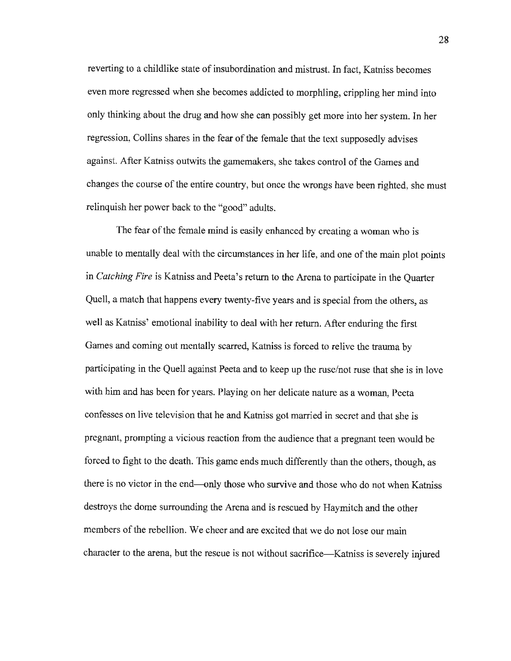reverting to a childlike state of insubordination and mistrust. In fact, Katniss becomes even more regressed when she becomes addicted to morphling, crippling her mind into only thinking about the drug and how she can possibly get more into her system. In her regression, Collins shares in the fear of the female that the text supposedly advises against. After Katniss outwits the gamemakers, she takes control of the Games and changes the course of the entire country, but once the wrongs have been righted, she must relinquish her power back to the "good" adults.

The fear of the female mind is easily enhanced by creating a woman who is unable to mentally deal with the circumstances in her life, and one of the main plot points in *Catching Fire* is Katniss and Peeta's return to the Arena to participate in the Quarter Quell, a match that happens every twenty-five years and is special from the others, as well as Katniss' emotional inability to deal with her return. After enduring the first Games and coming out mentally scarred, Katniss is forced to relive the trauma by participating in the Quell against Peeta and to keep up the ruse/not ruse that she is in love with him and has been for years. Playing on her delicate nature as a woman, Peeta confesses on live television that he and Katniss got married in secret and that she is pregnant, prompting a vicious reaction from the audience that a pregnant teen would be forced to fight to the death. This game ends much differently than the others, though, as there is no victor in the end—only those who survive and those who do not when Katniss destroys the dome surrounding the Arena and is rescued by Haymitch and the other members of the rebellion. We cheer and are excited that we do not lose our main character to the arena, but the rescue is not without sacrifice-Katniss is severely injured

28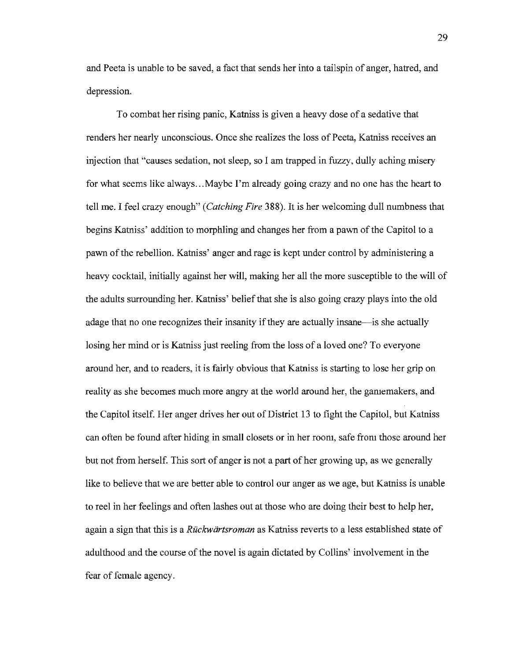and Peeta is unable to be saved, a fact that sends her into a tailspin of anger, hatred, and depression.

To combat her rising panic, Katniss is given a heavy dose of a sedative that renders her nearly unconscious. Once she realizes the loss of Peeta, Katniss receives an injection that "causes sedation, not sleep, so I am trapped in fuzzy, dully aching misery for what seems like always ... Maybe I'm already going crazy and no one has the heart to tell me. I feel crazy enough" *(Catching Fire* 388). It is her welcoming dull numbness that begins Katniss' addition to morphling and changes her from a pawn of the Capitol to a pawn of the rebellion. Katniss' anger and rage is kept under control by administering a heavy cocktail, initially against her will, making her all the more susceptible to the will of the adults surrounding her. Katniss' belief that she is also going crazy plays into the old adage that no one recognizes their insanity if they are actually insane—is she actually losing her mind or is Katniss just reeling from the loss of a loved one? To everyone around her, and to readers, it is fairly obvious that Katniss is starting to lose her grip on reality as she becomes much more angry at the world around her, the gamemakers, and the Capitol itself. Her anger drives her out of District 13 to fight the Capitol, but Katniss can often be found after hiding in small closets or in her room, safe from those around her but not from herself. This sort of anger is not a part of her growing up, as we generally like to believe that we are better able to control our anger as we age, but Katniss is unable to reel in her feelings and often lashes out at those who are doing their best to help her, again a sign that this is a *Ruckwartsroman* as Katniss reverts to a less established state of adulthood and the course of the novel is again dictated by Collins' involvement in the fear of female agency.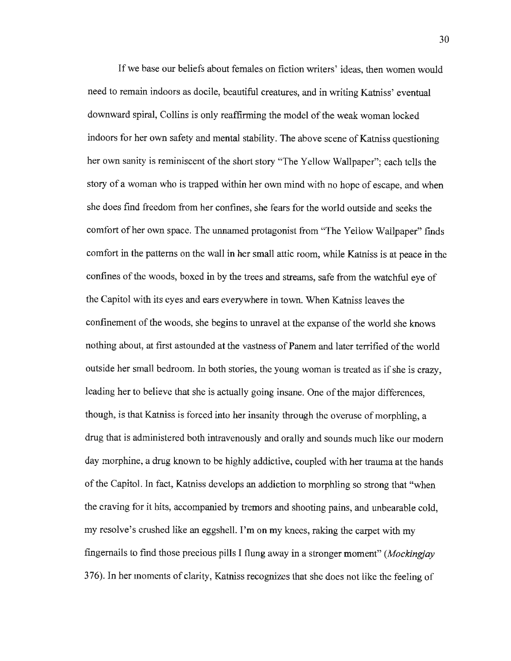If we base our beliefs about females on fiction writers' ideas, then women would need to remain indoors as docile, beautiful creatures, and in writing Katniss' eventual downward spiral, Collins is only reaffirming the model of the weak woman locked indoors for her own safety and mental stability. The above scene of Katniss questioning her own sanity is reminiscent of the short story "The Yellow Wallpaper"; each tells the story of a woman who is trapped within her own mind with no hope of escape, and when she does find freedom from her confines, she fears for the world outside and seeks the comfort of her own space. The unnamed protagonist from "The Yellow Wallpaper" finds comfort in the patterns on the wall in her small attic room, while Katniss is at peace in the confines of the woods, boxed in by the trees and streams, safe from the watchful eye of the Capitol with its eyes and ears everywhere in town. When Katniss leaves the confinement of the woods, she begins to unravel at the expanse of the world she knows nothing about, at first astounded at the vastness of Panem and later terrified of the world outside her small bedroom. In both stories, the young woman is treated as if she is crazy, leading her to believe that she is actually going insane. One of the major differences, though, is that Katniss is forced into her insanity through the overuse of morphling, a drug that is administered both intravenously and orally and sounds much like our modem day morphine, a drug known to be highly addictive, coupled with her trauma at the hands of the Capitol. In fact, Katniss develops an addiction to morphling so strong that "when the craving for it hits, accompanied by tremors and shooting pains, and unbearable cold, my resolve's crushed like an eggshell. I'm on my knees, raking the carpet with my fingernails to find those precious pills I flung away in a stronger moment" *(Mockingjay*  376). In her moments of clarity, Katniss recognizes that she does not like the feeling of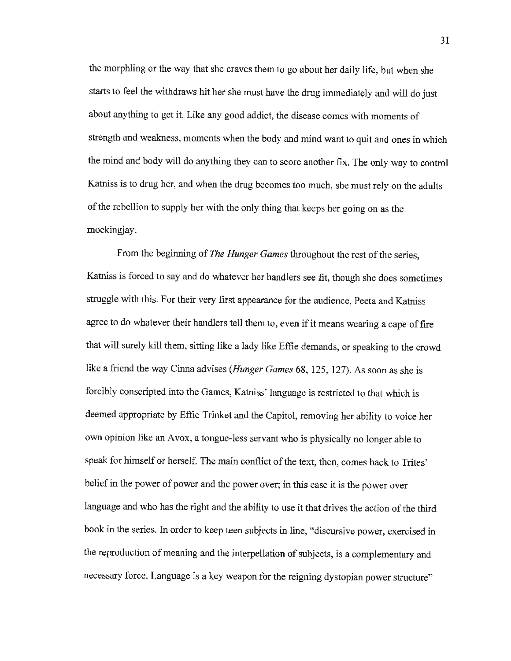the morphling or the way that she craves them to go about her daily life, but when she starts to feel the withdraws hit her she must have the drug immediately and will do just about anything to get it. Like any good addict, the disease comes with moments of strength and weakness, moments when the body and mind want to quit and ones in which the mind and body will do anything they can to score another fix. The only way to control Katniss is to drug her, and when the drug becomes too much, she must rely on the adults of the rebellion to supply her with the only thing that keeps her going on as the mockingjay.

From the beginning of *The Hunger Games* throughout the rest of the series, Katniss is forced to say and do whatever her handlers see fit, though she does sometimes struggle with this. For their very first appearance for the audience, Peeta and Katniss agree to do whatever their handlers tell them to, even if it means wearing a cape of fire that will surely kill them, sitting like a lady like Effie demands, or speaking to the crowd like a friend the way Cinna advises *(Hunger Games* 68, 125, 127). As soon as she is forcibly conscripted into the Games, Katniss' language is restricted to that which is deemed appropriate by Effie Trinket and the Capitol, removing her ability to voice her own opinion like an Avox, a tongue-less servant who is physically no longer able to speak for himself or herself. The main conflict of the text, then, comes back to Trites' belief in the power of power and the power over; in this case it is the power over language and who has the right and the ability to use it that drives the action of the third book in the series. In order to keep teen subjects in line, "discursive power, exercised in the reproduction of meaning and the interpellation of subjects, is a complementary and necessary force. Language is a key weapon for the reigning dystopian power structure"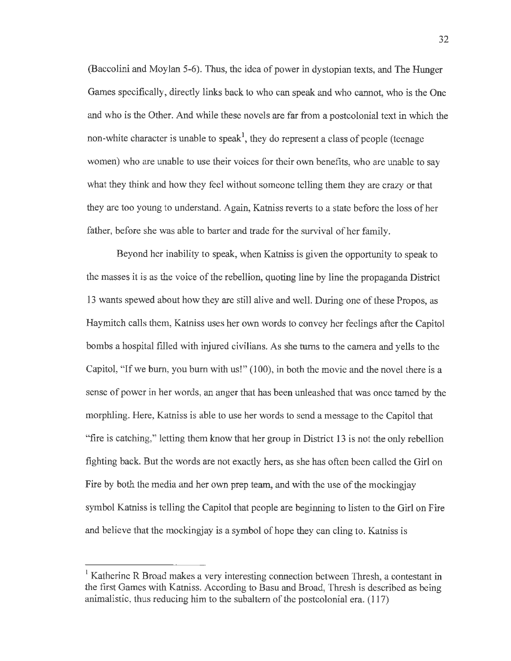(Baccolini and Moylan 5-6). Thus, the idea of power in dystopian texts, and The Hunger Games specifically, directly links back to who can speak and who cannot, who is the One and who is the Other. And while these novels are far from a postcolonial text in which the non-white character is unable to speak<sup>1</sup>, they do represent a class of people (teenage women) who are unable to use their voices for their own benefits, who are unable to say what they think and how they feel without someone telling them they are crazy or that they are too young to understand. Again, Katniss reverts to a state before the loss of her father, before she was able to barter and trade for the survival of her family.

Beyond her inability to speak, when Katniss is given the opportunity to speak to the masses it is as the voice of the rebellion, quoting line by line the propaganda District 13 wants spewed about how they are still alive and well. During one of these Propos, as Haymitch calls them, Katniss uses her own words to convey her feelings after the Capitol bombs a hospital filled with injured civilians. As she turns to the camera and yells to the Capitol, "If we burn, you burn with us!" (100), in both the movie and the novel there is a sense of power in her words, an anger that has been unleashed that was once tamed by the morphling. Here, Katniss is able to use her words to send a message to the Capitol that "fire is catching," letting them know that her group in District 13 is not the only rebellion fighting back. But the words are not exactly hers, as she has often been called the Girl on Fire by both the media and her own prep team, and with the use of the mockingjay symbol Katniss is telling the Capitol that people are beginning to listen to the Girl on Fire and believe that the mockingjay is a symbol of hope they can cling to. Katniss is

Katherine R Broad makes a very interesting connection between Thresh, a contestant in the first Games with Katniss. According to Basu and Broad, Thresh is described as being anirnalistic, thus reducing him to the subaltern of the postcolonial era. (117)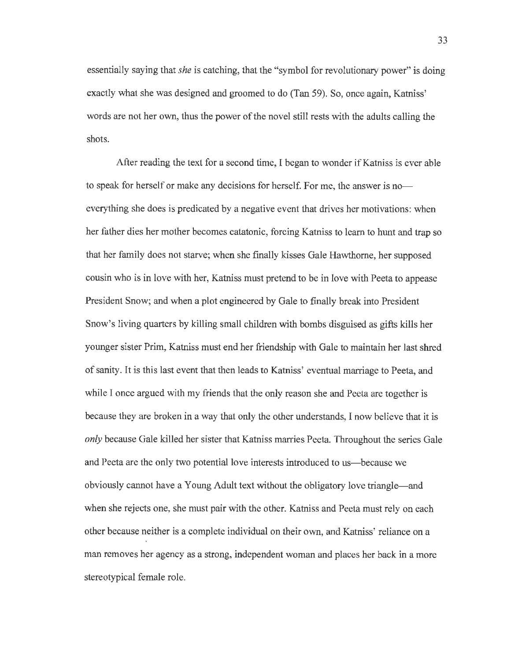essentially saying that *she* is catching, that the "symbol for revolutionary power" is doing exactly what she was designed and groomed to do (Tan 59). So, once again, Katniss' words are not her own, thus the power of the novel still rests with the adults calling the shots.

After reading the text for a second time, I began to wonder if Katniss is ever able to speak for herself or make any decisions for herself. For me, the answer is noeverything she does is predicated by a negative event that drives her motivations: when her father dies her mother becomes catatonic, forcing Katniss to learn to hunt and trap so that her family does not starve; when she finally kisses Gale Hawthorne, her supposed cousin who is in love with her, Katniss must pretend to be in love with Peeta to appease President Snow; and when a plot engineered by Gale to finally break into President Snow's living quarters by killing small children with bombs disguised as gifts kills her younger sister Prim, Katniss must end her friendship with Gale to maintain her last shred of sanity. It is this last event that then leads to Katniss' eventual marriage to Peeta, and while I once argued with my friends that the only reason she and Peeta are together is because they are broken in a way that only the other understands, I now believe that it is *only* because Gale killed her sister that Katniss marries Peeta. Throughout the series Gale and Peeta are the only two potential love interests introduced to us-because we obviously cannot have a Young Adult text without the obligatory love triangle-and when she rejects one, she must pair with the other. Katniss and Peeta must rely on each other because neither is a complete individual on their own, and Katniss' reliance on a man removes her agency as a strong, independent woman and places her back in a more stereotypical female role.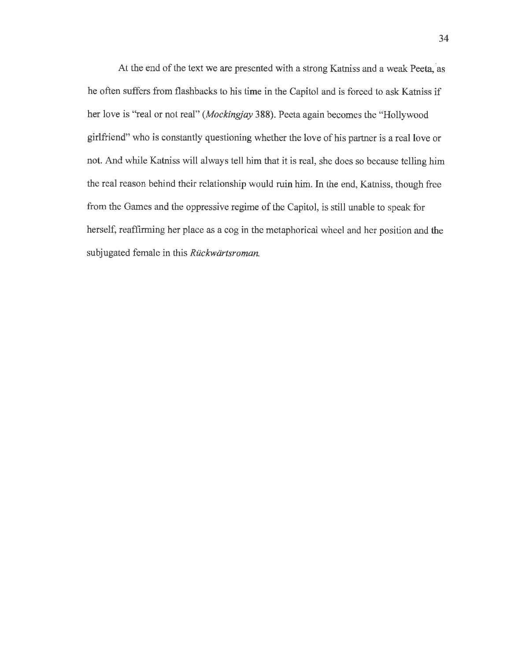At the end of the text we are presented with a strong Katniss and a weak Peeta, as he often suffers from flashbacks to his time in the Capitol and is forced to ask Katniss if her love is "real or not real" *(Mockingjay* 388). Peeta again becomes the "Hollywood girlfriend" who is constantly questioning whether the love of his partner is a real love or not. And while Katniss will always tell him that it is real, she does so because telling him the real reason behind their relationship would ruin him. In the end, Katniss, though free from the Games and the oppressive regime of the Capitol, is still unable to speak for herself, reaffirming her place as a cog in the metaphorical wheel and her position and the subjugated female in this *Ruckwartsroman.*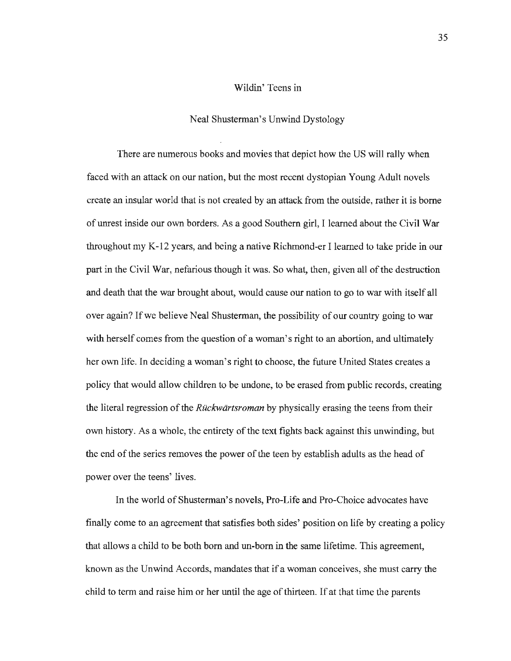# Wildin' Teens in

#### Neal Shusterman's Unwind Dystology

There are numerous books and movies that depict how the US will rally when faced with an attack on our nation, but the most recent dystopian Young Adult novels create an insular world that is not created by an attack from the outside, rather it is borne of unrest inside our own borders. As a good Southern girl, I learned about the Civil War throughout my K-12 years, and being a native Richmond-er I learned to take pride in our part in the Civil War, nefarious though it was. So what, then, given all of the destruction and death that the war brought about, would cause our nation to go to war with itself all over again? If we believe Neal Shusterman, the possibility of our country going to war with herself comes from the question of a woman's right to an abortion, and ultimately her own life. In deciding a woman's right to choose, the future United States creates a policy that would allow children to be undone, to be erased from public records, creating the literal regression of the *Ruckwartsroman* by physically erasing the teens from their own history. As a whole, the entirety of the text fights back against this unwinding, but the end of the series removes the power of the teen by establish adults as the head of power over the teens' lives.

In the world of Shusterman's novels, Pro-Life and Pro-Choice advocates have finally come to an agreement that satisfies both sides' position on life by creating a policy that allows a child to be both born and un-born in the same lifetime. This agreement, known as the Unwind Accords, mandates that if a woman conceives, she must carry the child to term and raise him or her until the age of thirteen. If at that time the parents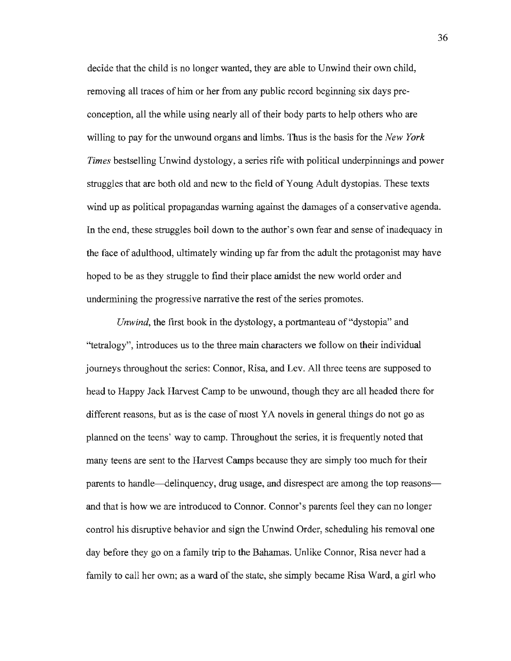decide that the child is no longer wanted, they are able to Unwind their own child, removing all traces of him or her from any public record beginning six days preconception, all the while using nearly all of their body parts to help others who are willing to pay for the unwound organs and limbs. Thus is the basis for the *New York Times* bestselling Unwind dystology, a series rife with political underpinnings and power struggles that are both old and new to the field of Young Adult dystopias. These texts wind up as political propagandas warning against the damages of a conservative agenda. In the end, these struggles boil down to the author's own fear and sense of inadequacy in the face of adulthood, ultimately winding up far from the adult the protagonist may have hoped to be as they struggle to find their place amidst the new world order and undermining the progressive narrative the rest of the series promotes.

*Unwind*, the first book in the dystology, a portmanteau of "dystopia" and ''tetralogy", introduces us to the three main characters we follow on their individual journeys throughout the series: Connor, Risa, and Lev. All three teens are supposed to head to Happy Jack Harvest Camp to be unwound, though they are all headed there for different reasons, but as is the case of most YA novels in general things do not go as planned on the teens' way to camp. Throughout the series, it is frequently noted that many teens are sent to the Harvest Camps because they are simply too much for their parents to handle-delinquency, drug usage, and disrespect are among the top reasonsand that is how we are introduced to Connor. Connor's parents feel they can no longer control his disruptive behavior and sign the Unwind Order, scheduling his removal one day before they go on a family trip to the Bahamas. Unlike Connor, Risa never had a family to call her own; as a ward of the state, she simply became Risa Ward, a girl who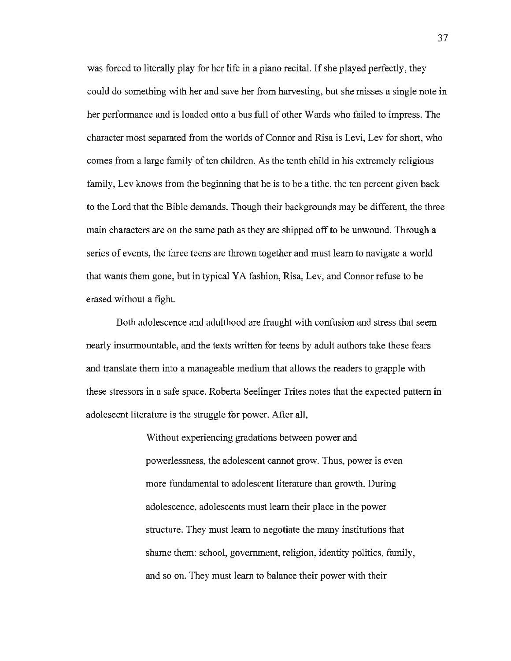was forced to literally play for her life in a piano recital. If she played perfectly, they could do something with her and save her from harvesting, but she misses a single note in her performance and is loaded onto a bus full of other Wards who failed to impress. The character most separated from the worlds of Connor and Risa is Levi, Lev for short, who comes from a large family of ten children. As the tenth child in his extremely religious family, Lev knows from the beginning that he is to be a tithe, the ten percent given back to the Lord that the Bible demands. Though their backgrounds may be different, the three main characters are on the same path as they are shipped off to be unwound. Through a series of events, the three teens are thrown together and must learn to navigate a world that wants them gone, but in typical YA fashion, Risa, Lev, and Connor refuse to be erased without a fight.

Both adolescence and adulthood are fraught with confusion and stress that seem nearly insurmountable, and the texts written for teens by adult authors take these fears and translate them into a manageable medium that allows the readers to grapple with these stressors in a safe space. Roberta Seelinger Trites notes that the expected pattern in adolescent literature is the struggle for power. After all,

> Without experiencing gradations between power and powerlessness, the adolescent cannot grow. Thus, power is even more fundamental to adolescent literature than growth. During adolescence, adolescents must learn their place in the power structure. They must learn to negotiate the many institutions that shame them: school, government, religion, identity politics, family, and so on. They must learn to balance their power with their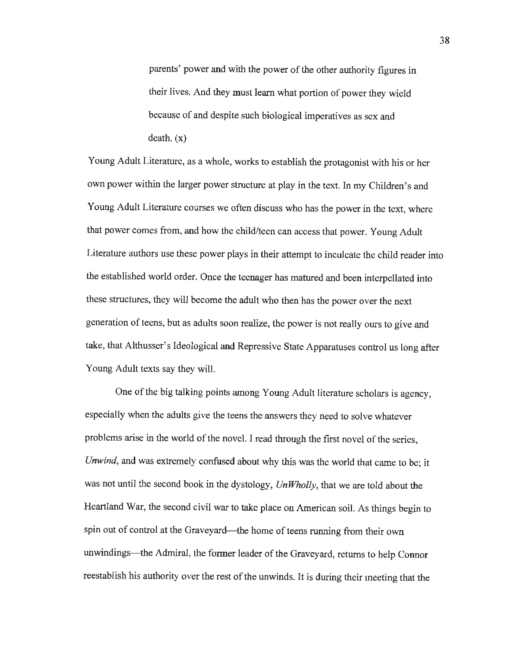parents' power and with the power of the other authority figures in their lives. And they must learn what portion of power they wield because of and despite such biological imperatives as sex and death. (x)

Young Adult Literature, as a whole, works to establish the protagonist with his or her own power within the larger power structure at play in the text. In my Children's and Young Adult Literature courses we often discuss who has the power in the text, where that power comes from, and how the child/teen can access that power. Young Adult Literature authors use these power plays in their attempt to inculcate the child reader into the established world order. Once the teenager has matured and been interpellated into these structures, they will become the adult who then has the power over the next generation of teens, but as adults soon realize, the power is not really ours to give and take, that Althusser's Ideological and Repressive State Apparatuses control us long after Young Adult texts say they will.

One of the big talking points among Young Adult literature scholars is agency, especially when the adults give the teens the answers they need to solve whatever problems arise in the world of the novel. I read through the first novel of the series, *Unwind,* and was extremely confused about why this was the world that came to be; it was not until the second book in the dystology, *Un Wholly,* that we are told about the Heartland War, the second civil war to take place on American soil. As things begin to spin out of control at the Graveyard—the home of teens running from their own unwindings-the Admiral, the former leader of the Graveyard, returns to help Connor reestablish his authority over the rest of the unwinds. It is during their meeting that the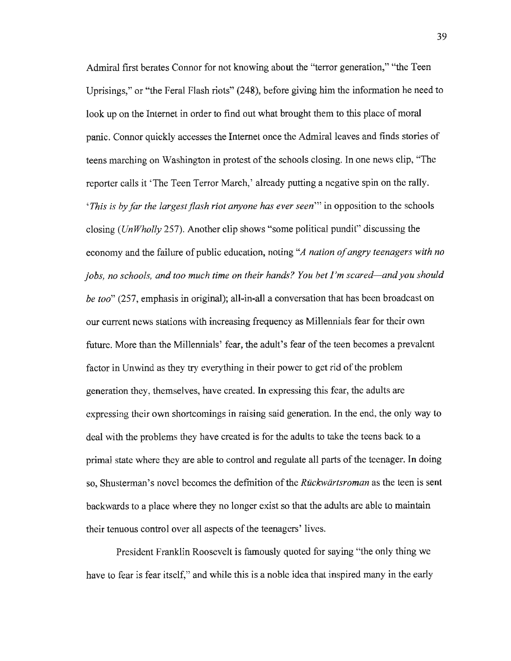Admiral first berates Connor for not knowing about the "terror generation," "the Teen Uprisings,'' or "the Feral Flash riots" (248), before giving him the information he need to look up on the Internet in order to find out what brought them to this place of moral panic. Connor quickly accesses the Internet once the Admiral leaves and finds stories of teens marching on Washington in protest of the schools closing. In one news clip, "The reporter calls it 'The Teen Terror March,' already putting a negative spin on the rally. *'This is by far the largest flash riot anyone has ever seen"'* in opposition to the schools closing *(UnWholly* 257). Another clip shows "some political pundit" discussing the economy and the failure of public education, noting *"A nation of angry teenagers with no jobs, no schools, and too much time on their hands? You bet I'm scared-and you should be too"* (257, emphasis in original); all-in-all a conversation that has been broadcast on our current news stations with increasing frequency as Millennials fear for their own future. More than the Millennials' fear, the adult's fear of the teen becomes a prevalent factor in Unwind as they try everything in their power to get rid of the problem generation they, themselves, have created. In expressing this fear, the adults are expressing their own shortcomings in raising said generation. In the end, the only way to deal with the problems they have created is for the adults to take the teens back to a primal state where they are able to control and regulate all parts of the teenager. In doing so, Shusterman' s novel becomes the defmition of the *Ruckwiirtsroman* as the teen is sent backwards to a place where they no longer exist so that the adults are able to maintain their tenuous control over all aspects of the teenagers' lives.

President Franklin Roosevelt is famously quoted for saying "the only thing we have to fear is fear itself," and while this is a noble idea that inspired many in the early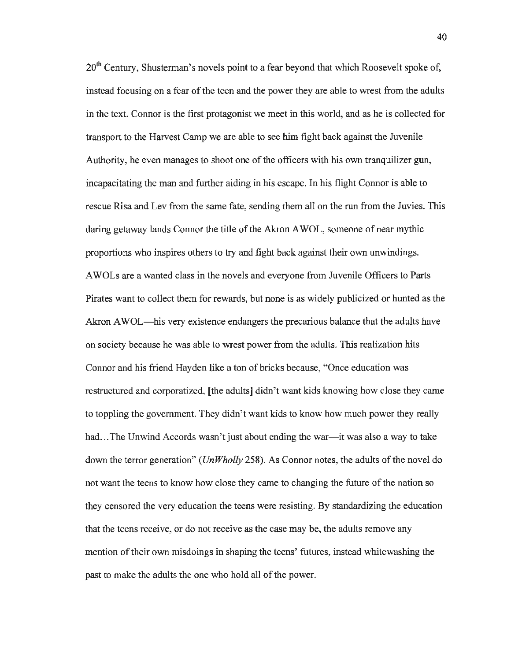$20<sup>th</sup>$  Century, Shusterman's novels point to a fear beyond that which Roosevelt spoke of, instead focusing on a fear of the teen and the power they are able to wrest from the adults in the text. Connor is the first protagonist we meet in this world, and as he is collected for transport to the Harvest Camp we are able to see him fight back against the Juvenile Authority, he even manages to shoot one of the officers with his own tranquilizer gun, incapacitating the man and further aiding in his escape. In his flight Connor is able to rescue Risa and Lev from the same fate, sending them all on the run from the Juvies. This daring getaway lands Connor the title of the Akron AWOL, someone of near mythic proportions who inspires others to try and fight back against their own unwindings. A WOLs are a wanted class in the novels and everyone from Juvenile Officers to Parts Pirates want to collect them for rewards, but none is as widely publicized or hunted as the Akron AWOL—his very existence endangers the precarious balance that the adults have on society because he was able to wrest power from the adults. This realization hits Connor and his friend Hayden like a ton of bricks because, "Once education was restructured and corporatized, [the adults] didn't want kids knowing how close they came to toppling the government. They didn't want kids to know how much power they really had... The Unwind Accords wasn't just about ending the war—it was also a way to take down the terror generation" *(UnWholly* 258). As Connor notes, the adults of the novel do not want the teens to know how close they came to changing the future of the nation so they censored the very education the teens were resisting. By standardizing the education that the teens receive, or do not receive as the case may be, the adults remove any mention of their own misdoings in shaping the teens' futures, instead whitewashing the past to make the adults the one who hold all of the power.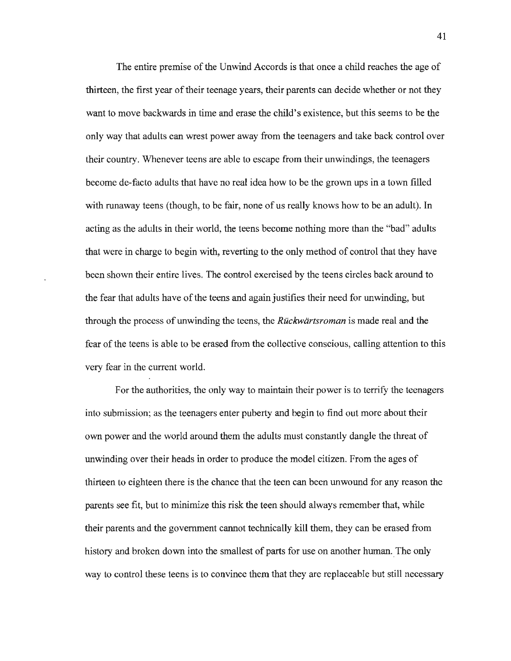The entire premise of the Unwind Accords is that once a child reaches the age of thirteen, the first year of their teenage years, their parents can decide whether or not they want to move backwards in time and erase the child's existence, but this seems to be the only way that adults can wrest power away from the teenagers and take back control over their country. Whenever teens are able to escape from their unwindings, the teenagers become de-facto adults that have no real idea how to be the grown ups in a town filled with runaway teens (though, to be fair, none of us really knows how to be an adult). In acting as the adults in their world, the teens become nothing more than the "bad" adults that were in charge to begin with, reverting to the only method of control that they have been shown their entire lives. The control exercised by the teens circles back around to the fear that adults have of the teens and again justifies their need for unwinding, but through the process of unwinding the teens, the *Ruckwiirtsroman* is made real and the fear of the teens is able to be erased from the collective conscious, calling attention to this very fear in the current world.

For the authorities, the only way to maintain their power is to terrify the teenagers into submission; as the teenagers enter puberty and begin to find out more about their own power and the world around them the adults must constantly dangle the threat of unwinding over their heads in order to produce the model citizen. From the ages of thirteen to eighteen there is the chance that the teen can been unwound for any reason the parents see fit, but to minimize this risk the teen should always remember that, while their parents and the government cannot technically kill them, they can be erased from history and broken down into the smallest of parts for use on another human. The only way to control these teens is to convince them that they are replaceable but still necessary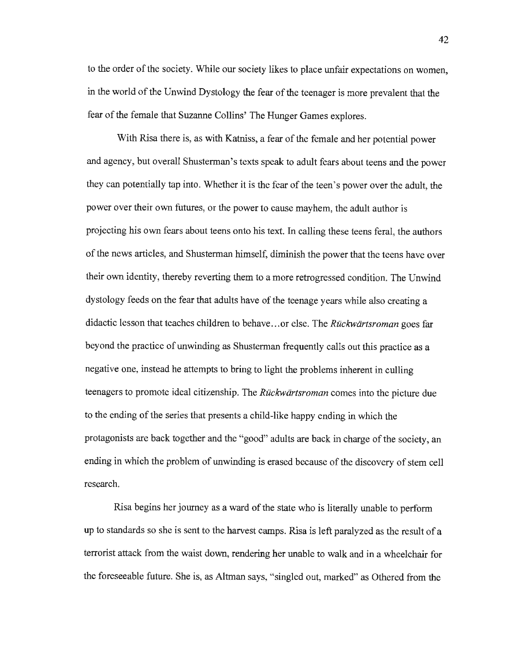to the order of the society. While our society likes to place unfair expectations on women, in the world of the Unwind Dystology the fear of the teenager is more prevalent that the fear of the female that Suzanne Collins' The Hunger Games explores.

With Risa there is, as with Katniss, a fear of the female and her potential power and agency, but overall Shusterman's texts speak to adult fears about teens and the power they can potentially tap into. Whether it is the fear of the teen's power over the adult, the power over their own futures, or the power to cause mayhem, the adult author is projecting his own fears about teens onto his text. In calling these teens feral, the authors of the news articles, and Shusterman himself, diminish the power that the teens have over their own identity, thereby reverting them to a more retrogressed condition. The Unwind dystology feeds on the fear that adults have of the teenage years while also creating a didactic lesson that teaches children to behave ... or else. The *Ruckwartsroman* goes far beyond the practice of unwinding as Shusterman frequently calls out this practice as a negative one, instead he attempts to bring to light the problems inherent in culling teenagers to promote ideal citizenship. The *Ruckwdrtsroman* comes into the picture due to the ending of the series that presents a child-like happy ending in which the protagonists are back together and the "good" adults are back in charge of the society, an ending in which the problem of unwinding is erased because of the discovery of stem cell research.

Risa begins her journey as a ward of the state who is literally unable to perform up to standards so she is sent to the harvest camps. Risa is left paralyzed as the result of a terrorist attack from the waist down, rendering her unable to walk and in a wheelchair for the foreseeable future. She is, as Altman says, "singled out, marked" as Othered from the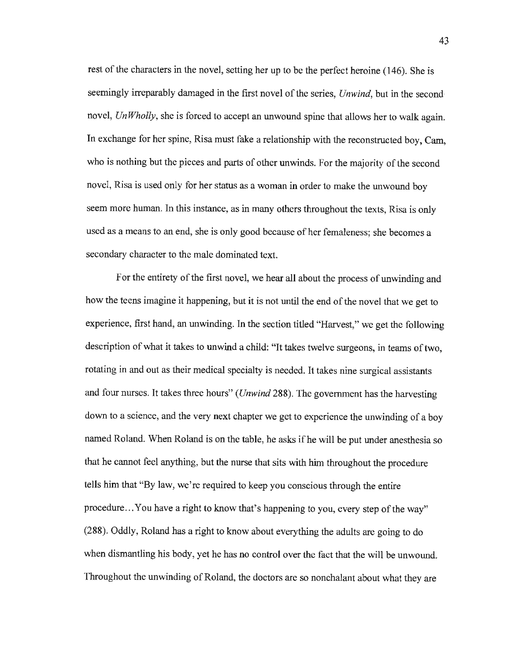rest of the characters in the novel, setting her up to be the perfect heroine (146). She is seemingly irreparably damaged in the first novel of the series, *Unwind,* but in the second novel, *Un Wholly,* she is forced to accept an unwound spine that allows her to walk again. In exchange for her spine, Risa must fake a relationship with the reconstructed boy, Cam, who is nothing but the pieces and parts of other unwinds. For the majority of the second novel, Risa is used only for her status as a woman in order to make the unwound boy seem more human. In this instance, as in many others throughout the texts, Risa is only used as a means to an end, she is only good because of her femaleness; she becomes a secondary character to the male dominated text.

For the entirety of the first novel, we hear all about the process of unwinding and how the teens imagine it happening, but it is not until the end of the novel that we get to experience, first hand, an unwinding. In the section titled "Harvest," we get the following description of what it takes to unwind a child: "It takes twelve surgeons, in teams of two, rotating in and out as their medical specialty is needed. It takes nine surgical assistants and four nurses. It takes three hours" *(Unwind* 288). The government has the harvesting down to a science, and the very next chapter we get to experience the unwinding of a boy named Roland. When Roland is on the table, he asks if he will be put under anesthesia so that he cannot feel anything, but the nurse that sits with him throughout the procedure tells him that "By law, we're required to keep you conscious through the entire procedure ... You have a right to know that's happening to you, every step of the way" (288). Oddly, Roland has a right to know about everything the adults are going to do when dismantling his body, yet he has no control over the fact that the will be unwound. Throughout the unwinding of Roland, the doctors are so nonchalant about what they are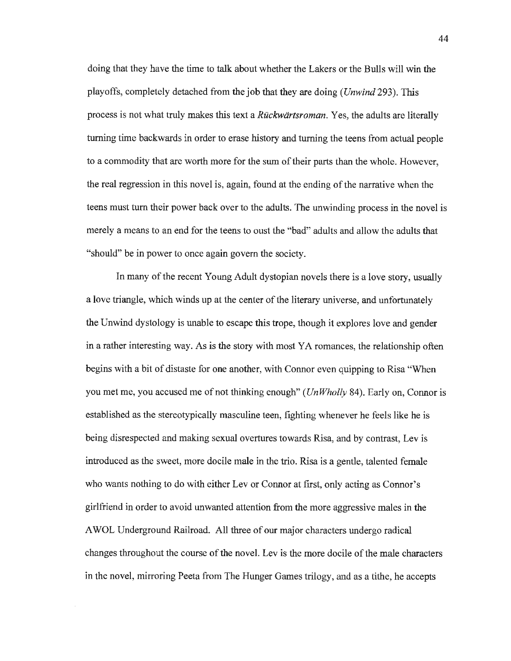doing that they have the time to talk about whether the Lakers or the Bulls will win the playoffs, completely detached from the job that they are doing *(Unwind* 293). This process is not what truly makes this text a *Ruckwiirtsroman.* Yes, the adults are literally turning time backwards in order to erase history and turning the teens from actual people to a commodity that are worth more for the sum of their parts than the whole. However, the real regression in this novel is, again, found at the ending of the narrative when the teens must tum their power back over to the adults. The unwinding process in the novel is merely a means to an end for the teens to oust the "bad" adults and allow the adults that "should" be in power to once again govern the society.

In many of the recent Young Adult dystopian novels there is a love story, usually a love triangle, which winds up at the center of the literary universe, and unfortunately the Unwind dystology is unable to escape this trope, though it explores love and gender in a rather interesting way. As is the story with most YA romances, the relationship often begins with a bit of distaste for one another, with Connor even quipping to Risa "When you met me, you accused me of not thinking enough" *(Un Wholly* 84). Early on, Connor is established as the stereotypically masculine teen, fighting whenever he feels like he is being disrespected and making sexual overtures towards Risa, and by contrast, Lev is introduced as the sweet, more docile male in the trio. Risa is a gentle, talented female who wants nothing to do with either Lev or Connor at frrst, only acting as Connor's girlfriend in order to avoid unwanted attention from the more aggressive males in the AWOL Underground Railroad. All three of our major characters undergo radical changes throughout the course of the novel. Lev is the more docile of the male characters in the novel, mirroring Peeta from The Hunger Games trilogy, and as a tithe, he accepts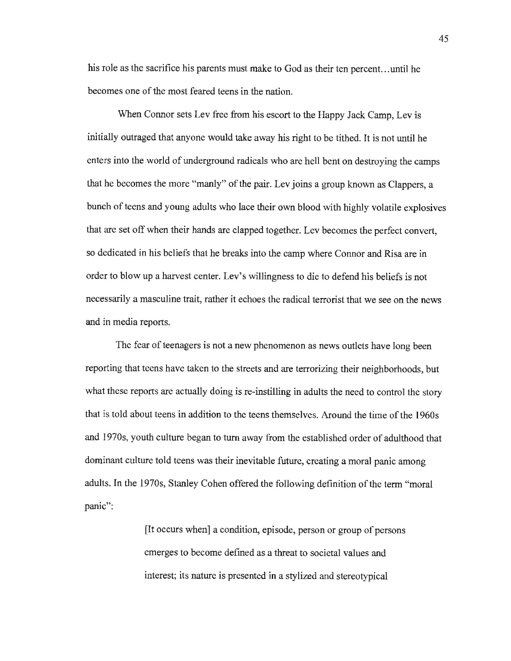his role as the sacrifice his parents must make to God as their ten percent. .. until he becomes one of the most feared teens in the nation.

When Connor sets Lev free from his escort to the Happy Jack Camp, Lev is initially outraged that anyone would take away his right to be tithed. It is not until he enters into the world of underground radicals who are hell bent on destroying the camps that he becomes the more "manly" of the pair. Lev joins a group known as Clappers, a bunch of teens and young adults who lace their own blood with highly volatile explosives that are set off when their hands are clapped together. Lev becomes the perfect convert, so dedicated in his beliefs that he breaks into the camp where Connor and Risa are in order to blow up a harvest center. Lev's willingness to die to defend his beliefs is not necessarily a masculine trait, rather it echoes the radical terrorist that we see on the news and in media reports.

The fear of teenagers is not a new phenomenon as news outlets have long been reporting that teens have taken to the streets and are terrorizing their neighborhoods, but what these reports are actually doing is re-instilling in adults the need to control the story that is told about teens in addition to the teens themselves. Around the time of the 1960s and 1970s, youth culture began to turn away from the established order of adulthood that dominant culture told teens was their inevitable future, creating a moral panic among adults. In the 1970s, Stanley Cohen offered the following definition of the term "moral panic":

> (It occurs when] a condition, episode, person or group of persons emerges to become defined as a threat to societal values and interest; its nature is presented in a stylized and stereotypical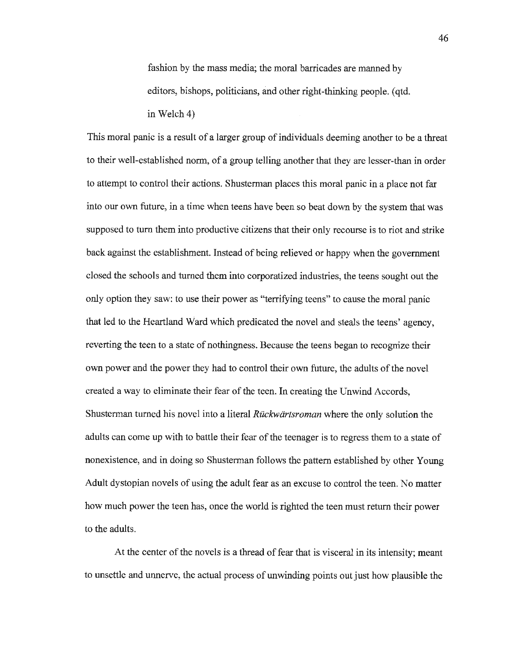fashion by the mass media; the moral barricades are manned by editors, bishops, politicians, and other right-thinking people. (qtd. in Welch 4)

This moral panic is a result of a larger group of individuals deeming another to be a threat to their well-established norm, of a group telling another that they are lesser-than in order to attempt to control their actions. Shusterman places this moral panic in a place not far into our own future, in a time when teens have been so beat down by the system that was supposed to turn them into productive citizens that their only recourse is to riot and strike back against the establishment. Instead of being relieved or happy when the government closed the schools and turned them into corporatized industries, the teens sought out the only option they saw: to use their power as "terrifying teens" to cause the moral panic that led to the Heartland Ward which predicated the novel and steals the teens' agency, reverting the teen to a state of nothingness. Because the teens began to recognize their own power and the power they had to control their own future, the adults of the novel created a way to eliminate their fear of the teen. In creating the Unwind Accords, Shusterman turned his novel into a literal *Ruckwartsroman* where the only solution the adults can come up with to battle their fear of the teenager is to regress them to a state of nonexistence, and in doing so Shusterman follows the pattern established by other Young Adult dystopian novels of using the adult fear as an excuse to control the teen. No matter how much power the teen has, once the world is righted the teen must return their power to the adults.

At the center of the novels is a thread of fear that is visceral in its intensity; meant to unsettle and unnerve, the actual process of unwinding points out just how plausible the

46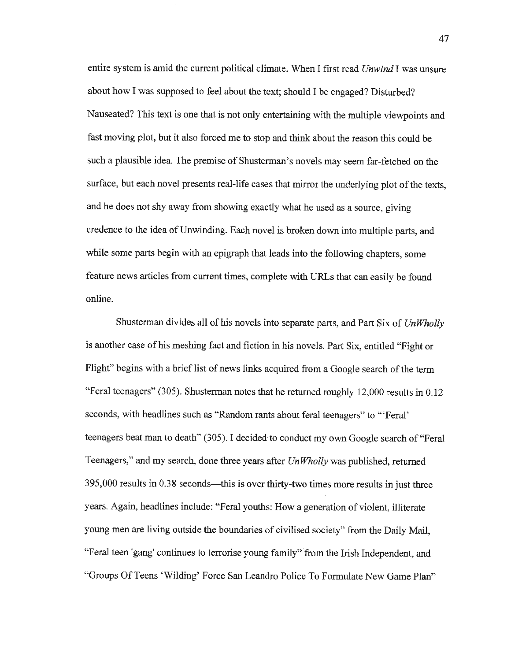entire system is amid the current political climate. When I first read *Unwind* I was unsure about how I was supposed to feel about the text; should I be engaged? Disturbed? Nauseated? This text is one that is not only entertaining with the multiple viewpoints and fast moving plot, but it also forced me to stop and think about the reason this could be such a plausible idea. The premise of Shusterman's novels may seem far-fetched on the surface, but each novel presents real-life cases that mirror the underlying plot of the texts, and he does not shy away from showing exactly what he used as a source, giving credence to the idea of Unwinding. Each novel is broken down into multiple parts, and while some parts begin with an epigraph that leads into the following chapters, some feature news articles from current times, complete with URLs that can easily be found online.

Shusterman divides all of his novels into separate parts, and Part Six of *Un Wholly*  is another case of his meshing fact and fiction in his novels. Part Six, entitled "Fight or Flight" begins with a brief list of news links acquired from a Google search of the term "Feral teenagers" (305). Shusterman notes that he returned roughly 12,000 results in 0.12 seconds, with headlines such as "Random rants about feral teenagers" to "'Feral' teenagers beat man to death" (305). I decided to conduct my own Google search of"Feral Teenagers," and my search, done three years after *Un Wholly* was published, returned  $395,000$  results in 0.38 seconds—this is over thirty-two times more results in just three years. Again, headlines include: "Feral youths: How a generation of violent, illiterate young men are living outside the boundaries of civilised society" from the Daily Mail, "Feral teen 'gang' continues to terrorise young family" from the Irish Independent, and "Groups Of Teens 'Wilding' Force San Leandro Police To Formulate New Game **Plan"**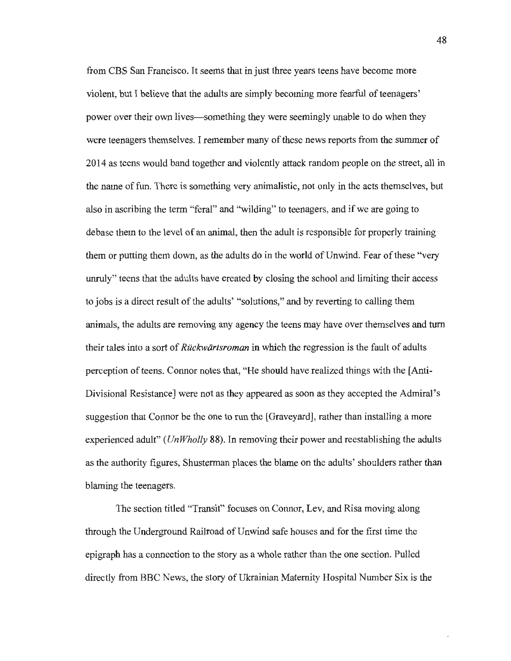from CBS San Francisco. It seems that in just three years teens have become more violent, but I believe that the adults are simply becoming more fearful of teenagers' power over their own lives—something they were seemingly unable to do when they were teenagers themselves. I remember many of these news reports from the summer of 2014 as teens would band together and violently attack random people on the street, all in the name of fun. There is something very animalistic, not only in the acts themselves, but also in ascribing the term "feral" and "wilding" to teenagers, and if we are going to debase them to the level of an animal, then the adult is responsible for properly training them or putting them down, as the adults do in the world of Unwind. Fear of these "very unruly" teens that the adults have created by closing the school and limiting their access to jobs is a direct result of the adults' "solutions," and by reverting to calling them animals, the adults are removing any agency the teens may have over themselves and turn their tales into a sort of *Ruckwiirtsroman* in which the regression is the fault of adults perception of teens. Connor notes that, "He should have realized things with the (Anti-Divisional Resistance) were not as they appeared as soon as they accepted the Admiral's suggestion that Connor be the one to run the [Graveyard], rather than installing a more experienced adult'' *(UnWholly* 88). In removing their power and reestablishing the adults as the authority figures, Shusterman places the blame on the adults' shoulders rather than blaming the teenagers.

The section titled "Transit" focuses on Connor, Lev, and Risa moving along through the Underground Railroad of Unwind safe houses and for the first time the epigraph has a connection to the story as a whole rather than the one section. Pulled directly from BBC News, the story of Ukrainian Maternity Hospital Number Six is the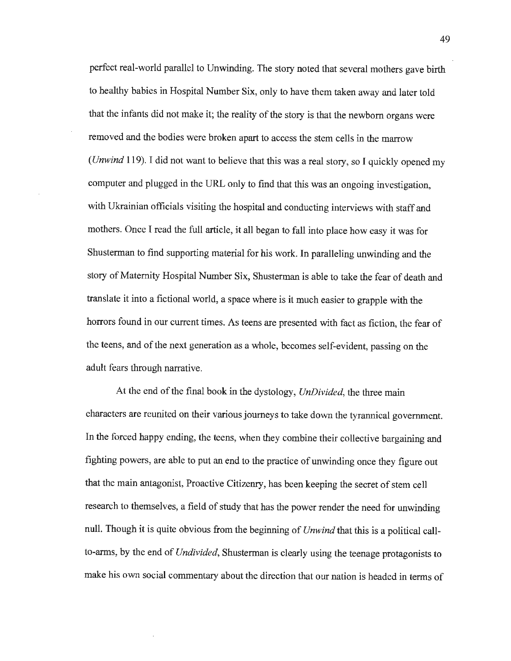perfect real-world parallel to Unwinding. The *story* noted that several mothers gave birth to healthy babies in Hospital Number **Six,** only to have them taken away and later told that the infants did not make it; the reality of the *story* is that the newborn organs were removed and the bodies were broken apart to access the stem cells in the marrow *(Unwind* 119). I did not want to believe that this was a real *story,* so I quickly opened my computer and plugged in the URL only to find that this was an ongoing investigation, with Ukrainian officials visiting the hospital and conducting interviews with staff and mothers. Once I read the full article, it all began to fall into place how easy it was for Shusterman to find supporting material for his work. In paralleling unwinding and the story of Maternity Hospital Number Six, Shusterman is able to take the fear of death and translate it into a fictional world, a space where is it much easier to grapple with the horrors found in our current times. As teens are presented with fact as fiction, the fear of the teens, and of the next generation as a whole, becomes self-evident, passing on the adult fears through narrative.

At the end of the final book in the dystology, *UnDivided,* the three main characters are reunited on their various journeys to take down the tyrannical government. In the forced happy ending, the teens, when they combine their collective bargaining and fighting powers, are able to put an end to the practice of unwinding once they figure out that the main antagonist, Proactive Citizenry, has been keeping the secret of stem cell research to themselves, a field of study that has the power render the need for unwinding null. Though it is quite obvious from the beginning of *Unwind* that this is a political callto-arms, by the end of *Undivided,* Shusterman is clearly using the teenage protagonists to make his own social commentary about the direction that our nation is headed in terms of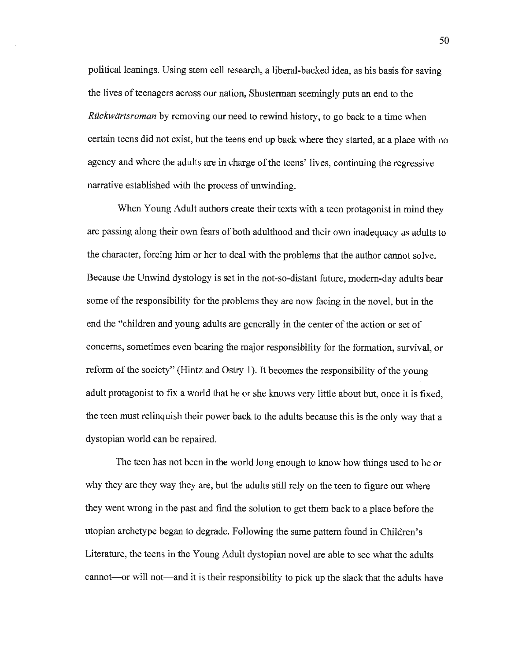political leanings. Using stem cell research, a liberal-backed idea, as his basis for saving the lives of teenagers across our nation, Shusterman seemingly puts an end to the *Ruckwartsroman* by removing our need to rewind history, to go back to a time when certain teens did not exist, but the teens end up back where they started, at a place with no agency and where the adults are in charge of the teens' lives, continuing the regressive narrative established with the process of unwinding.

When Young Adult authors create their texts with a teen protagonist in mind they are passing along their own fears of both adulthood and their own inadequacy as adults to the character, forcing him or her to deal with the problems that the author cannot solve. Because the Unwind dystology is set in the not-so-distant future, modem-day adults bear some of the responsibility for the problems they are now facing in the novel, but in the end the "children and young adults are generally in the center of the action or set of concerns, sometimes even bearing the major responsibility for the formation, survival, or reform of the society" (Hintz and Ostry 1). It becomes the responsibility of the young adult protagonist to fix a world that he or she knows very little about but, once it is fixed, the teen must relinquish their power back to the adults because this is the only way that a dystopian world can be repaired.

The teen has not been in the world long enough to know how things used to be or why they are they way they are, but the adults still rely on the teen to figure out where they went wrong in the past and find the solution to get them back to a place before the utopian archetype began to degrade. Following the same pattern found in Children's Literature, the teens in the Young Adult dystopian novel are able to see what the adults cannot—or will not—and it is their responsibility to pick up the slack that the adults have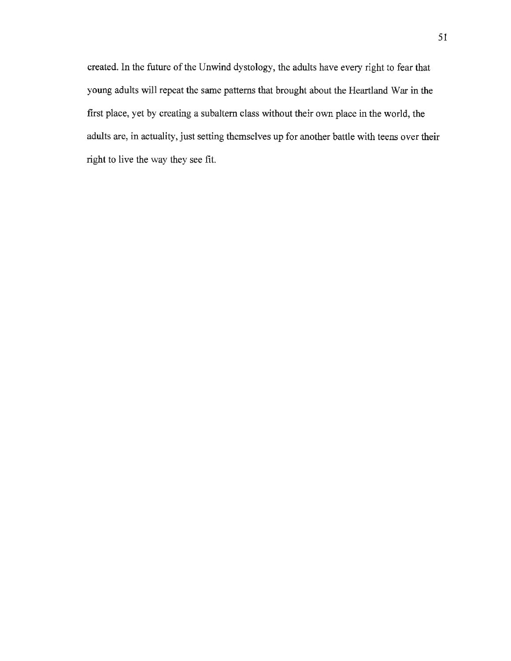created. In the future of the Unwind dystology, the adults have every right to fear that young adults will repeat the same patterns that brought about the Heartland War in the first place, yet by creating a subaltern class without their own place in the world, the adults are, in actuality, just setting themselves up for another battle with teens over their right to live the way they see fit.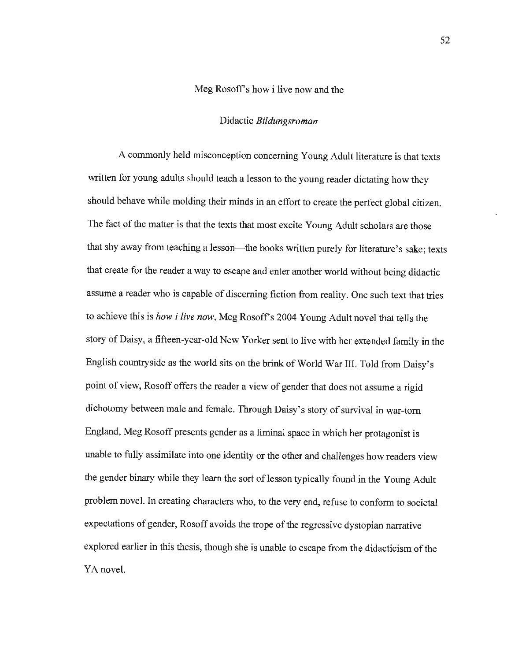### Meg Rosoff's how i live now and the

#### Didactic *Bildungsroman*

A commonly held misconception concerning Young Adult literature is that texts written for young adults should teach a lesson to the young reader dictating how they should behave while molding their minds in an effort to create the perfect global citizen. The fact of the matter is that the texts that most excite Young Adult scholars are those that shy away from teaching a lesson—the books written purely for literature's sake; texts that create for the reader a way to escape and enter another world without being didactic assume a reader who is capable of discerning fiction from reality. One such text that tries to achieve this is *how i live now,* Meg Rosoff's 2004 Young Adult novel that tells the story of Daisy, a fifteen-year-old New Yorker sent to live with her extended family in the English countryside as the world sits on the brink of World War III. Told from Daisy's point of view, Rosoff offers the reader a view of gender that does not assume a rigid dichotomy between male and female. Through Daisy's story of survival in war-torn England, Meg Rosoff presents gender as a liminal space in which her protagonist is unable to fully assimilate into one identity or the other and challenges how readers view the gender binary while they learn the sort of lesson typically found in the Young Adult problem novel. In creating characters who, to the very end, refuse to conform to societal expectations of gender, Rosoff avoids the trope of the regressive dystopian narrative explored earlier in this thesis, though she is unable to escape from the didacticism of the YA novel.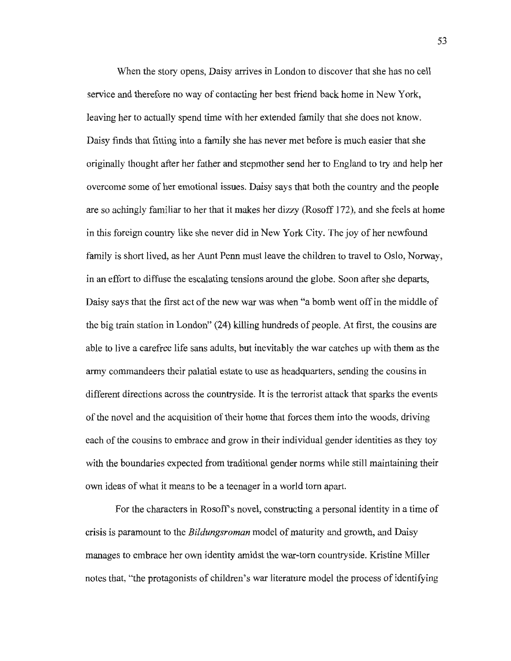When the story opens, Daisy arrives in London to discover that she has no cell service and therefore no way of contacting her best friend back home in New York, leaving her to actually spend time with her extended family that she does not know. Daisy finds that fitting into a family she has never met before is much easier that she originally thought after her father and stepmother send her to England to try and help her overcome some of her emotional issues. Daisy says that both the country and the people are so achingly familiar to her that it makes her dizzy (Rosoff 172), and she feels at home in this foreign country like she never did in New York City. The joy of her newfound family is short lived, as her Aunt Penn must leave the children to travel to Oslo, Norway, in an effort to diffuse the escalating tensions around the globe. Soon after she departs, Daisy says that the first act of the new war was when "a bomb went off in the middle of the big train station in London" (24) killing hundreds of people. At first, the cousins are able to live a carefree life sans adults, but inevitably the war catches up with them as the army commandeers their palatial estate to use as headquarters, sending the cousins in different directions across the countryside. It is the terrorist attack that sparks the events of the novel and the acquisition of their home that forces them into the woods, driving each of the cousins to embrace and grow in their individual gender identities as they toy with the boundaries expected from traditional gender norms while still maintaining their own ideas of what it means to be a teenager in a world tom apart.

For the characters in Rosoff's novel, constructing a personal identity in a time of crisis is paramount to the *Bildungsroman* model of maturity and growth, and Daisy manages to embrace her own identity amidst the war-torn countryside. Kristine Miller notes that, "the protagonists of children's war literature model the process of identifying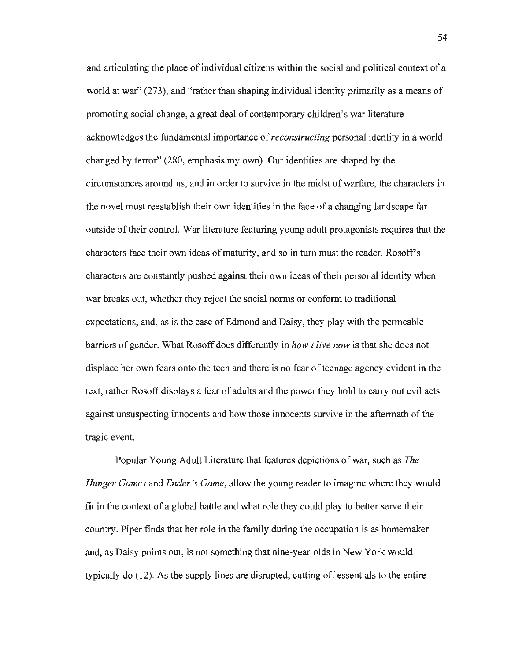and articulating the place of individual citizens within the social and political context of a world at war" (273), and "rather than shaping individual identity primarily as a means of promoting social change, a great deal of contemporary children's war literature acknowledges the fundamental importance of *reconstructing* personal identity in a world changed by terror" (280, emphasis my own). Our identities are shaped by the circumstances around us, and in order to survive in the midst of warfare, the characters in the novel must reestablish their own identities in the face of a changing landscape far outside of their control. War literature featuring young adult protagonists requires that the characters face their own ideas of maturity, and so in tum must the reader. Rosoff's characters are constantly pushed against their own ideas of their personal identity when war breaks out, whether they reject the social norms or conform to traditional expectations, and, as is the case of Edmond and Daisy, they play with the permeable barriers of gender. What Rosoff does differently in *how i live now* is that she does not displace her own fears onto the teen and there is no fear of teenage agency evident in the text, rather Rosoff displays a fear of adults and the power they hold to carry out evil acts against unsuspecting innocents and how those innocents survive in the aftermath of the tragic event.

Popular Young Adult Literature that features depictions of war, such as *The Hunger Games* and *Ender's Game,* allow the young reader to imagine where they would fit in the context of a global battle and what role they could play to better serve their country. Piper finds that her role in the family during the occupation is as homemaker and, as Daisy points out, is not something that nine-year-olds in New York would typically do (12). As the supply lines are disrupted, cutting off essentials to the entire

54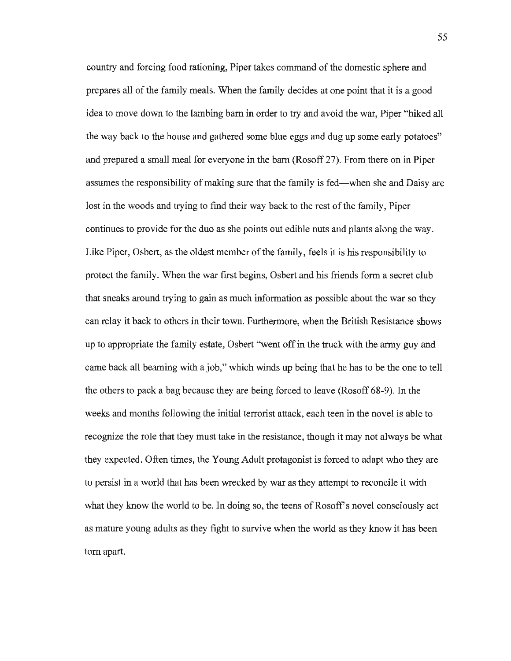country and forcing food rationing, Piper takes command of the domestic sphere and prepares all of the family meals. When the family decides at one point that it is a good idea to move down to the lambing barn in order to try and avoid the war, Piper "hiked all the way back to the house and gathered some blue eggs and dug up some early potatoes" and prepared a small meal for everyone in the barn (Rosoff 27). From there on in Piper assumes the responsibility of making sure that the family is fed-when she and Daisy are lost in the woods and trying to find their way back to the rest of the family, Piper continues to provide for the duo as she points out edible nuts and plants along the way. Like Piper, Osbert, as the oldest member of the family, feels it is his responsibility to protect the family. When the war first begins, Osbert and his friends form a secret club that sneaks around trying to gain as much information as possible about the war so they can relay it back to others in their town. Furthermore, when the British Resistance shows up to appropriate the family estate, Osbert "went off in the truck with the army guy and came back all beaming with a job," which winds up being that he has to be the one to tell the others to pack a bag because they are being forced to leave (Rosoff 68-9). In the weeks and months following the initial terrorist attack, each teen in the novel is able to recognize the role that they must take in the resistance, though it may not always be what they expected. Often times, the Young Adult protagonist is forced to adapt who they are to persist in a world that has been wrecked by war as they attempt to reconcile it with what they know the world to be. In doing so, the teens of Rosoff's novel consciously act as mature young adults as they fight to survive when the world as they know it has been torn apart.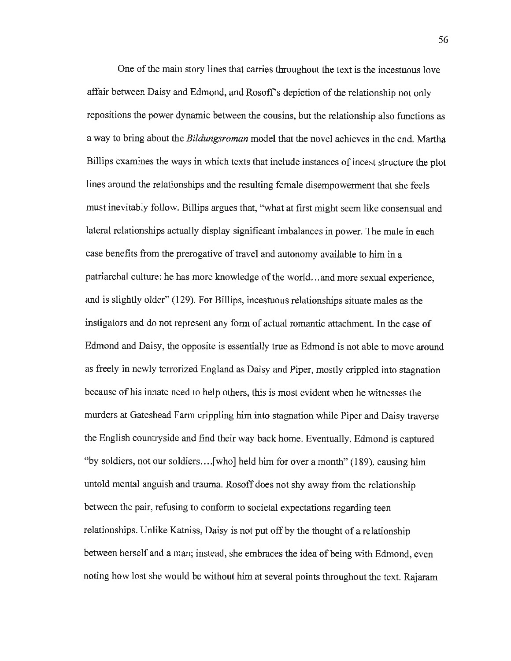One of the main story lines that carries throughout the text is the incestuous love affair between Daisy and Edmond, and Rosoff's depiction of the relationship not only repositions the power dynamic between the cousins, but the relationship also functions as a way to bring about the *Bildungsroman* model that the novel achieves in the end. Martha Billips examines the ways in which texts that include instances of incest structure the plot lines around the relationships and the resulting female disempowerment that she feels must inevitably follow. Billips argues that, "what at first might seem like consensual and lateral relationships actually display significant imbalances in power. The male in each case benefits from the prerogative of travel and autonomy available to him in a patriarchal culture: he has more knowledge of the world...and more sexual experience, and is slightly older" (129). For Billips, incestuous relationships situate males as the instigators and do not represent any form of actual romantic attachment. In the case of Edmond and Daisy, the opposite is essentially true as Edmond is not able to move around as freely in newly terrorized England as Daisy and Piper, mostly crippled into stagnation because of his innate need to help others, this is most evident when he witnesses the murders at Gateshead Farm crippling him into stagnation while Piper and Daisy traverse the English countryside and find their way back home. Eventually, Edmond is captured "by soldiers, not our soldiers .... [who] held him for over a month" (189), causing him untold mental anguish and trauma. Rosoff does not shy away from the relationship between the pair, refusing to conform to societal expectations regarding teen relationships. Unlike Katniss, Daisy is not put off by the thought of a relationship between herself and a man; instead, she embraces the idea of being with Edmond, even noting how lost she would be without him at several points throughout the text. Rajaram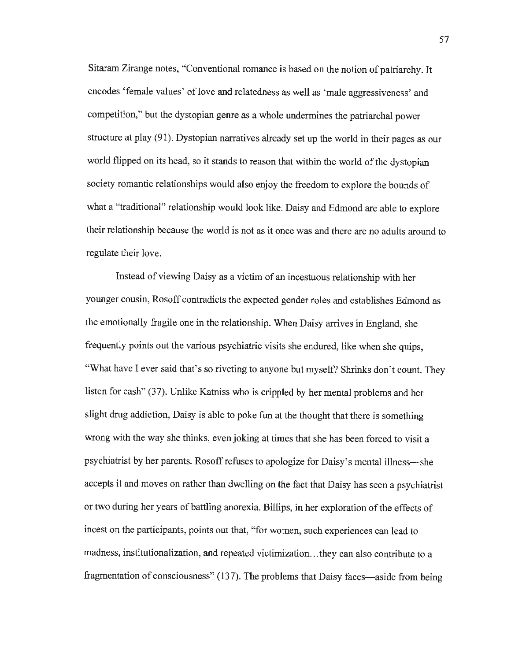Sitaram Zirange notes, "Conventional romance is based on the notion of patriarchy. It encodes 'female values' of love and relatedness as well as 'male aggressiveness' and competition," but the dystopian genre as a whole undermines the patriarchal power structure at play (91). Dystopian narratives already set up the world in their pages as our world flipped on its head, so it stands to reason that within the world of the dystopian society romantic relationships would also enjoy the freedom to explore the bounds of what a "traditional" relationship would look like. Daisy and Edmond are able to explore their relationship because the world is not as it once was and there are no adults around to regulate their love.

Instead of viewing Daisy as a victim of an incestuous relationship with her younger cousin, Rosoff contradicts the expected gender roles and establishes Edmond as the emotionally fragile one in the relationship. When Daisy arrives in England, she frequently points out the various psychiatric visits she endured, like when she quips, "What have I ever said that's so riveting to anyone but myself? Shrinks don't count. They listen for cash" (37). Unlike Katniss who is crippled by her mental problems and her slight drug addiction, Daisy is able to poke fun at the thought that there is something wrong with the way she thinks, even joking at times that she has been forced to visit a psychiatrist by her parents. Rosoff refuses to apologize for Daisy's mental illness-she accepts it and moves on rather than dwelling on the fact that Daisy has seen a psychiatrist or two during her years of battling anorexia. Billips, in her exploration of the effects of incest on the participants, points out that, "for women, such experiences can lead to madness, institutionalization, and repeated victimization ... they can also contribute to a fragmentation of consciousness" (137). The problems that Daisy faces—aside from being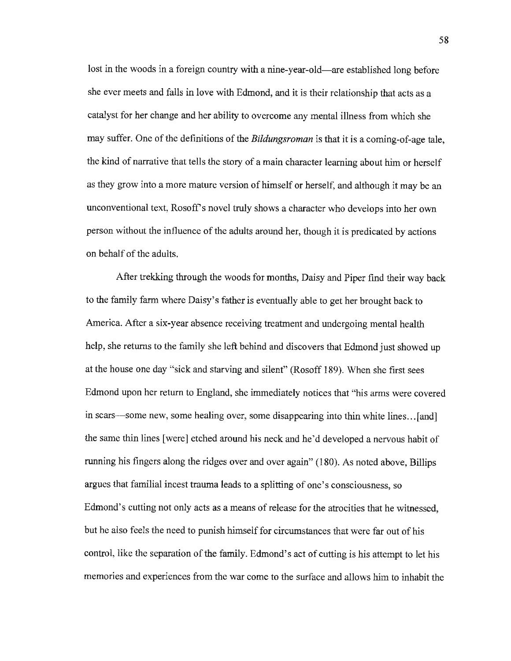lost in the woods in a foreign country with a nine-year-old—are established long before she ever meets and falls in love with Edmond, and it is their relationship that acts as a catalyst for her change and her ability to overcome any mental illness from which she may suffer. One of the definitions of the *Bildungsroman* is that it is a coming-of-age tale, the kind of narrative that tells the story of a main character learning about him or herself as they grow into a more mature version of himself or herself, and although it may be an unconventional text, Rosoff's novel truly shows a character who develops into her own person without the influence of the adults around her, though it is predicated by actions on behalf of the adults.

After trekking through the woods for months, Daisy and Piper find their way back to the family farm where Daisy's father is eventually able to get her brought back to America. After a six-year absence receiving treatment and undergoing mental health help, she returns to the family she left behind and discovers that Edmond just showed up at the house one day "sick and starving and silent" (Rosoff 189). When she first sees Edmond upon her return to England, she immediately notices that "his arms were covered in scars—some new, some healing over, some disappearing into thin white lines...[and] the same thin lines [were] etched around his neck and he'd developed a nervous habit of running his fingers along the ridges over and over again" (180). As noted above, Billips argues that familial incest trauma leads to a splitting of one's consciousness, so Edmond's cutting not only acts as a means of release for the atrocities that he witnessed, but he also feels the need to punish himself for circumstances that were far out of his control, like the separation of the family. Edmond's act of cutting is his attempt to let his memories and experiences from the war come to the surface and allows him to inhabit the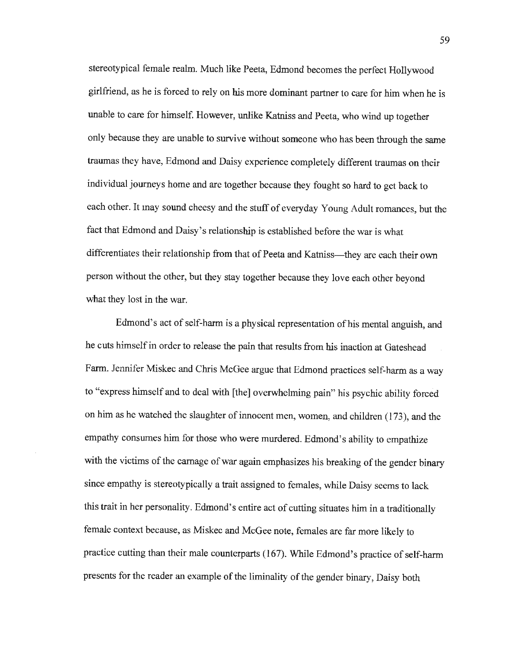stereotypical female realm. Much like Peeta, Edmond becomes the perfect Hollywood girlfriend, as he is forced to rely on his more dominant partner to care for him when he is unable to care for himself. However, unlike Katniss and Peeta, who wind up together only because they are unable to survive without someone who has been through the same traumas they have, Edmond and Daisy experience completely different traumas on their individual journeys home and are together because they fought so hard to get back to each other. It may sound cheesy and the stuff of everyday Young Adult romances, but the fact that Edmond and Daisy's relationship is established before the war is what differentiates their relationship from that of Peeta and Katniss-they are each their own person without the other, but they stay together because they love each other beyond what they lost in the war.

Edmond's act of self-harm is a physical representation of his mental anguish, and he cuts himself in order to release the pain that results from his inaction at Gateshead Fann. Jennifer Miskec and Chris McGee argue that Edmond practices self-harm as a way to "express himself and to deal with [the] overwhelming pain" his psychic ability forced on him as he watched the slaughter of innocent men, women, and children (173), and the empathy consumes him for those who were murdered. Edmond's ability to empathize with the victims of the carnage of war again emphasizes his breaking of the gender binary since empathy is stereotypically a trait assigned to females, while Daisy seems to lack this trait in her personality. Edmond's entire act of cutting situates him in a traditionally female context because, as Miskec and McGee note, females are far more likely to practice cutting than their male counterparts (167). While Edmond's practice of self-harm presents for the reader an example of the liminality of the gender binary, Daisy both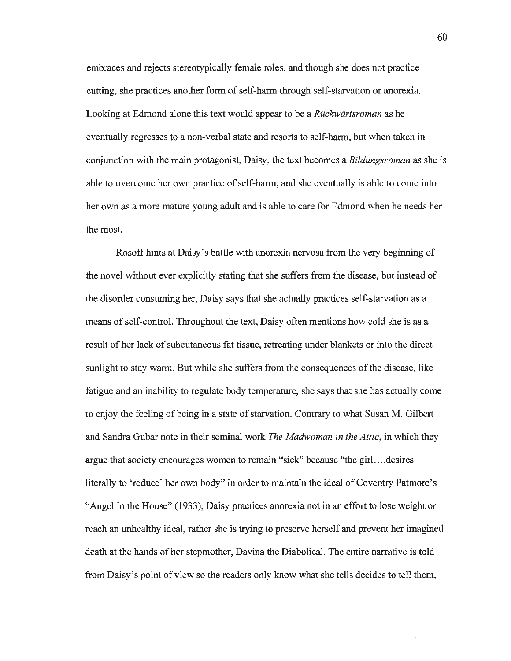embraces and rejects stereotypically female roles, and though she does not practice cutting, she practices another form of self-harm through self-starvation or anorexia. Looking at Edmond alone this text would appear to be a *Ruckwartsroman* as he eventually regresses to a non-verbal state and resorts to self-harm, but when taken in conjunction with the main protagonist, Daisy, the text becomes a *Bildungsroman* as she is able to overcome her own practice of self-harm, and she eventually is able to come into her own as a more mature young adult and is able to care for Edmond when he needs her the most.

Rosoff hints at Daisy's battle with anorexia nervosa from the very beginning of the novel without ever explicitly stating that she suffers from the disease, but instead of the disorder conswning her, Daisy says that she actually practices self-starvation as a means of self-control. Throughout the text, Daisy often mentions how cold she is as a result of her lack of subcutaneous fat tissue, retreating under blankets or into the direct sunlight to stay warm. But while she suffers from the consequences of the disease, like fatigue and an inability to regulate body temperature, she says that she has actually come to enjoy the feeling of being in a state of starvation. Contrary to what Susan M. Gilbert and Sandra Gubar note in their seminal work *The Madwoman in the Attic,* in which they argue that society encourages women to remain "sick" because "the girl.. .. desires literally to 'reduce' her own body" in order to maintain the ideal of Coventry Patmore's "Angel in the House" (1933), Daisy practices anorexia not in an effort to lose weight or reach an unhealthy ideal, rather she is trying to preserve herself and prevent her imagined death at the hands of her stepmother, Davina the Diabolical. The entire narrative is told from Daisy's point of view so the readers only know what she tells decides to tell them,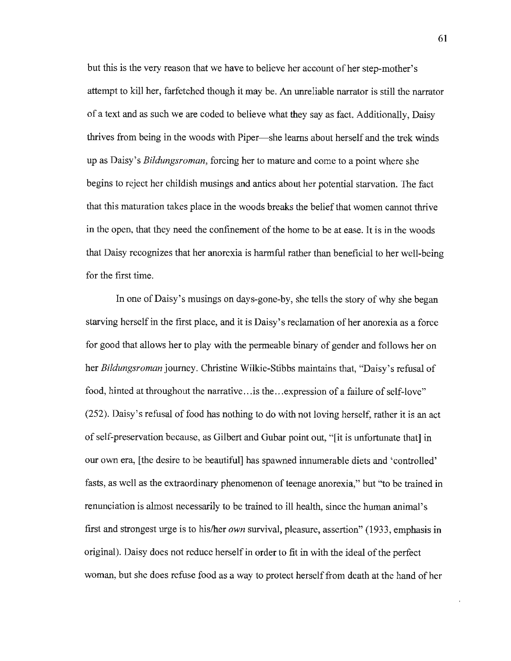but this is the very reason that we have to believe her account of her step-mother's attempt to kill her, farfetched though it may be. An unreliable narrator is still the narrator of a text and as such we are coded to believe what they say as fact. Additionally, Daisy thrives from being in the woods with Piper-she learns about herself and the trek winds up as Daisy's *Bildungsroman,* forcing her to mature and come to a point where she begins to reject her childish musings and antics about her potential starvation. The fact that this maturation takes place in the woods breaks the belief that women cannot thrive in the open, that they need the confinement of the home to be at ease. It is in the woods that Daisy recognizes that her anorexia is harmful rather than beneficial to her well-being for the first time.

In one of Daisy's musings on days-gone-by, she tells the story of why she began starving herself in the first place, and it is Daisy's reclamation of her anorexia as a force for good that allows her to play with the permeable binary of gender and follows her on her *Bildungsroman* journey. Christine Wilkie-Stibbs maintains that, "Daisy's refusal of food, hinted at throughout the narrative... is the ... expression of a failure of self-love" (252). Daisy's refusal of food has nothing to do with not loving herself, rather it is an act of self-preservation because, as Gilbert and Gubar point out, "[it is unfortunate that] in our own era, [the desire to be beautiful] has spawned innumerable diets and 'controlled' fasts, as well as the extraordinary phenomenon of teenage anorexia," but '"to be trained in renunciation is almost necessarily to be trained to ill health, since the human animal's first and strongest urge is to his/her *own* survival, pleasure, assertion" (1933, emphasis in original). Daisy does not reduce herself in order to fit in with the ideal of the perfect woman, but she does refuse food as a way to protect herself from death at the hand of her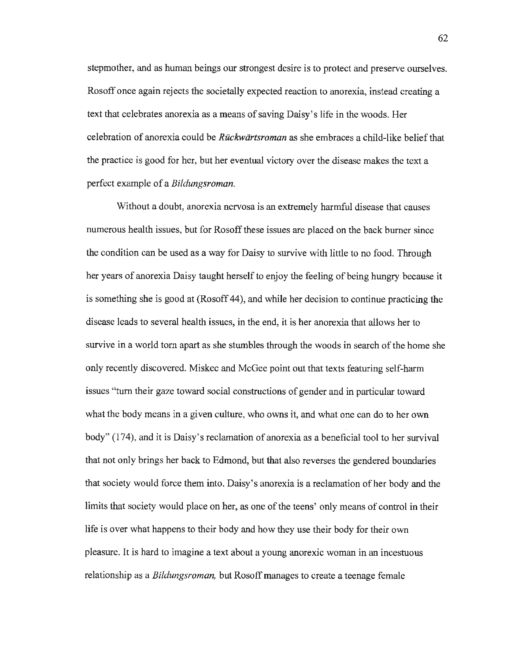stepmother, and as human beings our strongest desire is to protect and preserve ourselves. Rosoff once again rejects the societally expected reaction to anorexia, instead creating a text that celebrates anorexia as a means of saving Daisy's life in the woods. Her celebration of anorexia could be *Ruckwiirtsroman* as she embraces a child-like belief that the practice is good for her, but her eventual victory over the disease makes the text a perfect example of a *Bildungsroman.* 

Without a doubt, anorexia nervosa is an extremely harmful disease that causes numerous health issues, but for Rosoff these issues are placed on the back burner since the condition can be used as a way for Daisy to survive with little to no food. Through her years of anorexia Daisy taught herself to enjoy the feeling of being hungry because it is something she is good at (Rosoff 44), and while her decision to continue practicing the disease leads to several health issues, in the end, it is her anorexia that allows her to survive in a world torn apart as she stumbles through the woods in search of the home she only recently discovered. Miskec and McGee point out that texts featuring self-harm issues "tum their gaze toward social constructions of gender and in particular toward what the body means in a given culture, who owns it, and what one can do to her own body" (174), and it is Daisy's reclamation of anorexia as a beneficial tool to her survival that not only brings her back to Edmond, but that also reverses the gendered boundaries that society would force them into. Daisy's anorexia is a reclamation of her body and the limits that society would place on her, as one of the teens' only means of control in their life is over what happens to their body and how they use their body for their own pleasure. It is hard to imagine a text about a young anorexic woman in an incestuous relationship as a *Bildungsroman,* but Rosoff manages to create a teenage female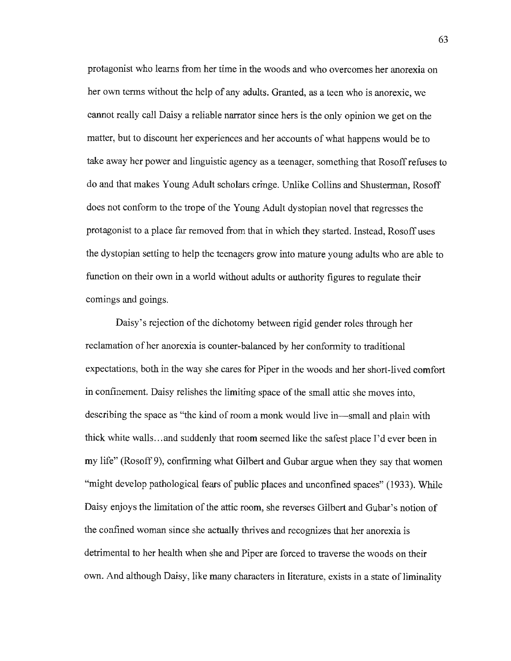protagonist who learns from her time in the woods and who overcomes her anorexia on her own terms without the help of any adults. Granted, as a teen who is anorexic, we cannot really call Daisy a reliable narrator since hers is the only opinion we get on the matter, but to discount her experiences and her accounts of what happens would be to take away her power and linguistic agency as a teenager, something that Rosoff refuses to do and that makes Young Adult scholars cringe. Unlike Collins and Shusterman, Rosoff does not conform to the trope of the Young Adult dystopian novel that regresses the protagonist to a place far removed from that in which they started. Instead, Rosoff uses the dystopian setting to help the teenagers grow into mature young adults who are able to function on their own in a world without adults or authority figures to regulate their comings and goings.

Daisy's rejection of the dichotomy between rigid gender roles through her reclamation of her anorexia is counter-balanced by her conformity to traditional expectations, both in the way she cares for Piper in the woods and her short-lived comfort in confinement. Daisy relishes the limiting space of the small attic she moves into, describing the space as "the kind of room a monk would live in—small and plain with thick white walls ... and suddenly that room seemed like the safest place I'd ever been in my life" (Rosoff 9), confirming what Gilbert and Gubar argue when they say that women "might develop pathological fears of public places and unconfined spaces" (1933). While Daisy enjoys the limitation of the attic room, she reverses Gilbert and Gubar's notion of the confined woman since she actually thrives and recognizes that her anorexia is detrimental to her health when she and Piper are forced to traverse the woods on their own. And although Daisy, like many characters in literature, exists in a state of liminality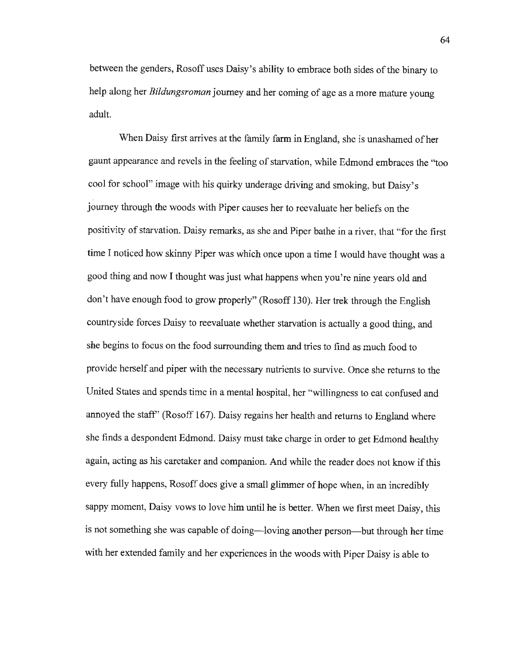between the genders, Rosoff uses Daisy's ability to embrace both sides of the binary to help along her *Bildungsroman* journey and her coming of age as a more mature young adult.

When Daisy first arrives at the family farm in England, she is unashamed of her gaunt appearance and revels in the feeling of starvation, while Edmond embraces the ''too cool for school" image with his quirky underage driving and smoking, but Daisy's journey through the woods with Piper causes her to reevaluate her beliefs on the positivity of starvation. Daisy remarks, as she and Piper bathe in a river, that "for the first time I noticed how skinny Piper was which once upon a time I would have thought was a good thing and now I thought was just what happens when you're nine years old and don't have enough food to grow properly" (Rosoff 130). Her trek through the English countryside forces Daisy to reevaluate whether starvation is actually a good thing, and she begins to focus on the food surrounding them and tries to find as much food to provide herself and piper with the necessary nutrients to survive. Once she returns to the United States and spends time in a mental hospital, her "willingness to eat confused and annoyed the staff' (Rosoff 167). Daisy regains her health and returns to England where she finds a despondent Edmond. Daisy must take charge in order to get Edmond healthy again, acting as his caretaker and companion. And while the reader does not know if this every fully happens, Rosoff does give a small glimmer of hope when, in an incredibly sappy moment, Daisy vows to love him until he is better. When we first meet Daisy, this is not something she was capable of doing—loving another person—but through her time with her extended family and her experiences in the woods with Piper Daisy is able to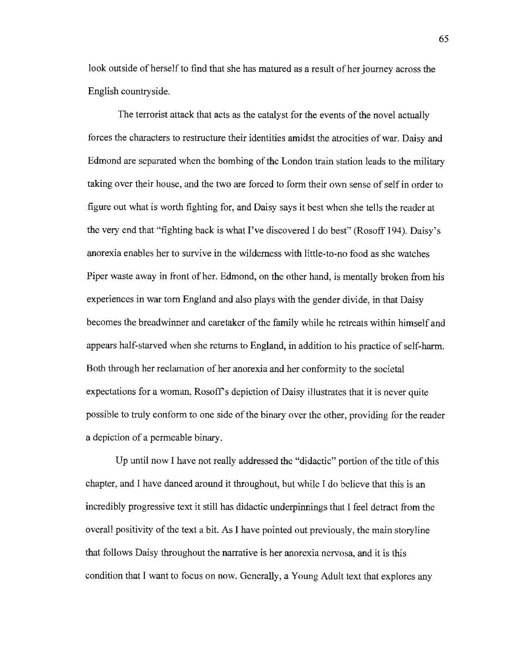look outside of herself to find that she has matured as a result of her journey across the English countryside.

The terrorist attack that acts as the catalyst for the events of the novel actually forces the characters to restructure their identities amidst the atrocities of war. Daisy and Edmond are separated when the bombing of the London train station leads to the military taking over their house, and the two are forced to form their own sense of self in order to figure out what is worth fighting for, and Daisy says it best when she tells the reader at the very end that "fighting back is what I've discovered I do best" (Rosoff 194). Daisy's anorexia enables her to survive in the wilderness with little-to-no food as she watches Piper waste away in front of her. Edmond, on the other hand, is mentally broken from his experiences in war torn England and also plays with the gender divide, in that Daisy becomes the breadwinner and caretaker of the family while he retreats within himself and appears half-starved when she returns to England, in addition to his practice of self-harm. Both through her reclamation of her anorexia and her conformity to the societal expectations for a woman, Rosoff's depiction of Daisy illustrates that it is never quite possible to truly conform to one side of the binary over the other, providing for the reader a depiction of a permeable binary.

Up until now I have not really addressed the "didactic" portion of the title of this chapter, and I have danced around it throughout, but while I do believe that this is an incredibly progressive text it still has didactic underpinnings that I feel detract from the overall positivity of the text a bit. As I have pointed out previously, the main storyline that follows Daisy throughout the narrative is her anorexia nervosa, and it is this condition that I want to focus on now. Generally, a Young Adult text that explores any

65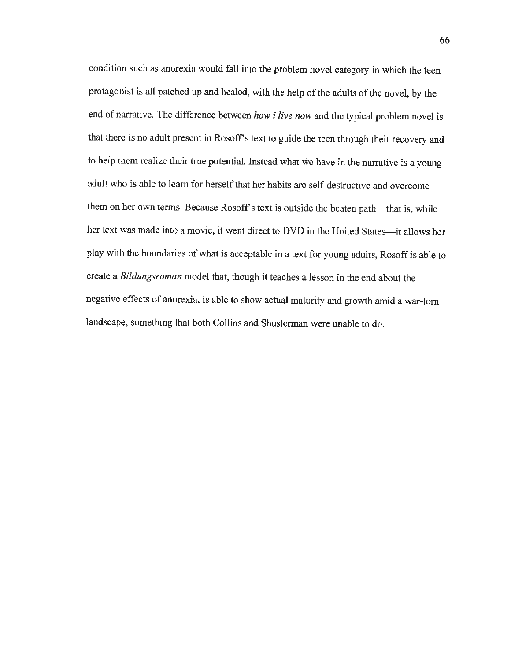condition such as anorexia would fall into the problem novel category in which the teen protagonist is all patched up and healed, with the help of the adults of the novel, by the end of narrative. The difference between *how i live now* and the typical problem novel is that there is no adult present in Rosoff's text to guide the teen through their recovery and to help them realize their true potential. Instead what we have in the narrative is a young adult who is able to learn for herself that her habits are self-destructive and overcome them on her own terms. Because Rosoff's text is outside the beaten path—that is, while her text was made into a movie, it went direct to DVD in the United States-it allows her play with the boundaries of what is acceptable in a text for young adults, Rosoff is able to create a *Bildungsroman* model that, though it teaches a lesson in the end about the negative effects of anorexia, is able to show actual maturity and growth amid a war-tom landscape, something that both Collins and Shusterman were unable to do.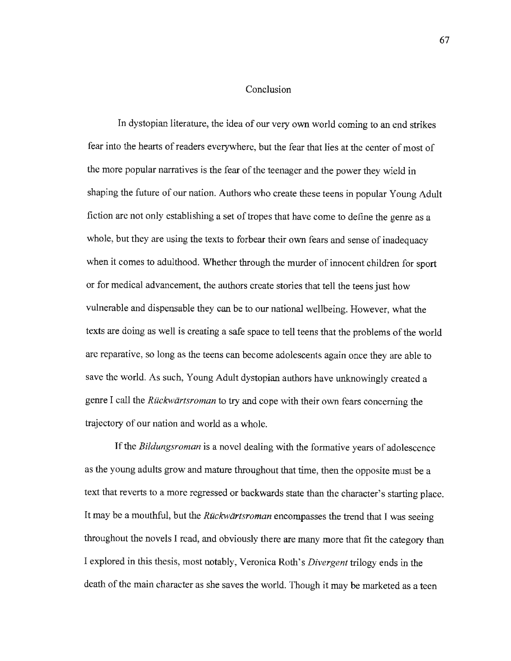## Conclusion

In dystopian literature, the idea of our very own world coming to an end strikes fear into the hearts of readers everywhere, but the fear that lies at the center of most of the more popular narratives is the fear of the teenager and the power they wield in shaping the future of our nation. Authors who create these teens in popular Young Adult fiction are not only establishing a set of tropes that have come to define the genre as a whole, but they are using the texts to forbear their own fears and sense of inadequacy when it comes to adulthood. Whether through the murder of innocent children for sport or for medical advancement, the authors create stories that tell the teens just how vulnerable and dispensable they can be to our national wellbeing. However, what the texts are doing as well is creating a safe space to tell teens that the problems of the world are reparative, so long as the teens can become adolescents again once they are able to save the world. As such, Young Adult dystopian authors have unknowingly created a genre I call the *Ruckwartsroman* to try and cope with their own fears concerning the trajectory of our nation and world as a whole.

If the *Bildungsroman* is a novel dealing with the formative years of adolescence as the young adults grow and mature throughout that time, then the opposite must be a text that reverts to a more regressed or backwards state than the character's starting place. It may be a mouthful, but the *Ruckwartsroman* encompasses the trend that I was seeing throughout the novels I read, and obviously there are many more that fit the category than I explored in this thesis, most notably, Veronica Roth's *Divergent* trilogy ends in the death of the main character as she saves the world. Though it may be marketed as a teen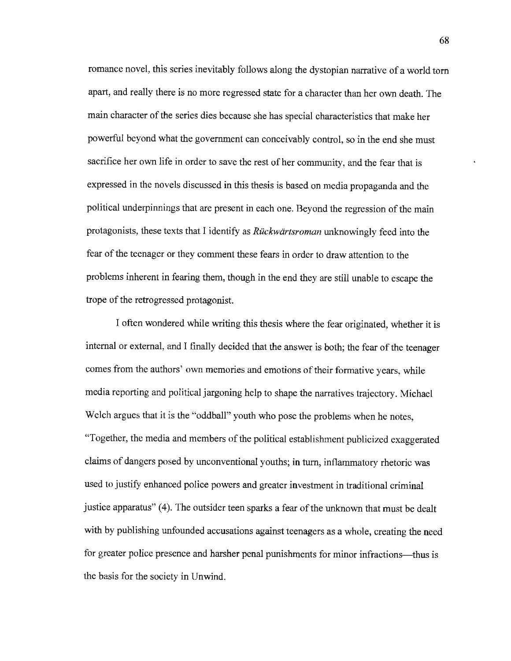romance novel, this series inevitably follows along the dystopian narrative of a world tom apart, and really there is no more regressed state for a character than her own death. The main character of the series dies because she has special characteristics that make her powerful beyond what the government can conceivably control, so in the end she must sacrifice her own life in order to save the rest of her community, and the fear that is expressed in the novels discussed in this thesis is based on media propaganda and the political underpinnings that are present in each one. Beyond the regression of the main protagonists, these texts that I identify as *Ruckwartsroman* unknowingly feed into the fear of the teenager or they comment these fears in order to draw attention to the problems inherent in fearing them, though in the end they are still unable to escape the trope of the retrogressed protagonist.

I often wondered while writing this thesis where the fear originated, whether it is internal or external, and I finally decided that the answer is both; the fear of the teenager comes from the authors' own memories and emotions of their formative years, while media reporting and political jargoning help to shape the narratives trajectory. Michael Welch argues that it is the "oddball" youth who pose the problems when he notes, "Together, the media and members of the political establishment publicized exaggerated claims of dangers posed by unconventional youths; in turn, inflammatory rhetoric was used to justify enhanced police powers and greater investment in traditional criminal justice apparatus" (4). The outsider teen sparks a fear of the unknown that must be dealt with by publishing unfounded accusations against teenagers as a whole, creating the need for greater police presence and harsher penal punishments for minor infractions—thus is the basis for the society in Unwind.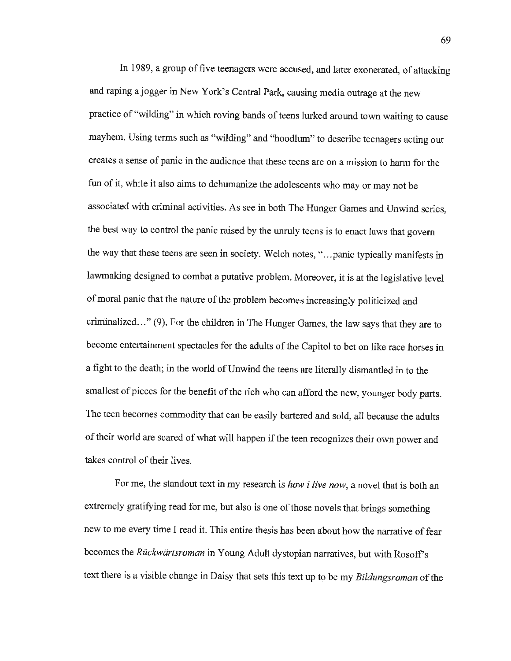In 1989, a group of five teenagers were accused, and later exonerated, of attacking and raping a jogger in New York's Central Park, causing media outrage at the new practice of "wilding" in which roving bands of teens lurked around town waiting to cause mayhem. Using terms such as "wilding" and "hoodlum" to describe teenagers acting out creates a sense of panic in the audience that these teens are on a mission to harm for the fun of it, while it also aims to dehumanize the adolescents who may or may not be associated with criminal activities. As see in both The Hunger Games and Unwind series, the best way to control the panic raised by the unruly teens is to enact laws that govern the way that these teens are seen in society. Welch notes, "...panic typically manifests in lawmaking designed to combat a putative problem. Moreover, it is at the legislative level of moral panic that the nature of the problem becomes increasingly politicized and criminalized ... " (9). For the children in The Hunger Games, the law says that they are to become entertainment spectacles for the adults of the Capitol to bet on like race horses in a fight to the death; in the world of Unwind the teens are literally dismantled in to the smallest of pieces for the benefit of the rich who can afford the new, younger body parts. The teen becomes commodity that can be easily bartered and sold, all because the adults of their world are scared of what will happen if the teen recognizes their own power and takes control of their lives.

For me, the standout text in my research is *how i live now,* a novel that is both an extremely gratifying read for me, but also is one of those novels that brings something new to me every time I read it. This entire thesis has been about how the narrative of fear becomes the *Rückwärtsroman* in Young Adult dystopian narratives, but with Rosoff's text there is a visible change in Daisy that sets this text up to be my *Bildungsroman* of the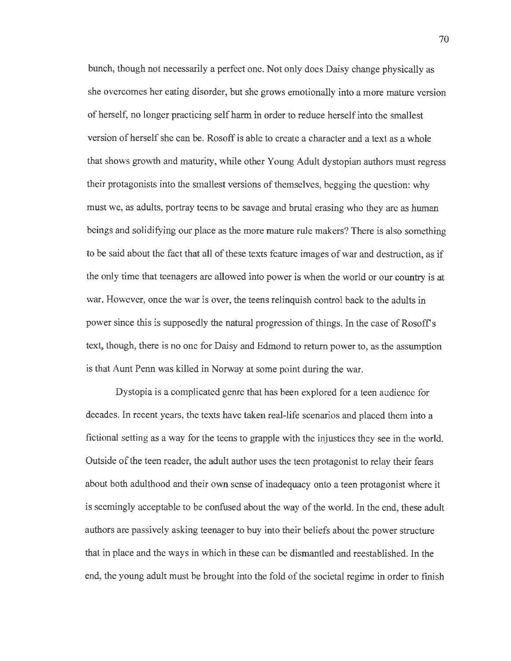bunch, though not necessarily a perfect one. Not only does Daisy change physically as she overcomes her eating disorder, but she grows emotionally into a more mature version of herself, no longer practicing self harm in order to reduce herself into the smallest version of herself she can be. Rosoff is able to create a character and a text as a whole that shows growth and maturity, while other Young Adult dystopian authors must regress their protagonists into the smallest versions of themselves, begging the question: why must we, as adults, portray teens to be savage and brutal erasing who they are as human beings and solidifying our place as the more mature rule makers? There is also something to be said about the fact that all of these texts feature images of war and destruction, as if the only time that teenagers are allowed into power is when the world or our country is at war. However, once the war is over, the teens relinquish control back to the adults in power since this is supposedly the natural progression of things. In the case of Rosoff s text, though, there is no one for Daisy and Edmond to return power to, as the assumption is that Aunt Penn was killed in Norway at some point during the war.

Dystopia is a complicated genre that has been explored for a teen audience for decades. In recent years, the texts have taken real-life scenarios and placed them into a fictional setting as a way for the teens to grapple with the injustices they see in the world. Outside of the teen reader, the adult author uses the teen protagonist to relay their fears about both adulthood and their own sense of inadequacy onto a teen protagonist where it is seemingly acceptable to be confused about the way of the world. In the end, these adult authors are passively asking teenager to buy into their beliefs about the power structure that in place and the ways in which in these can be dismantled and reestablished. In the end, the young adult must be brought into the fold of the societal regime in order to finish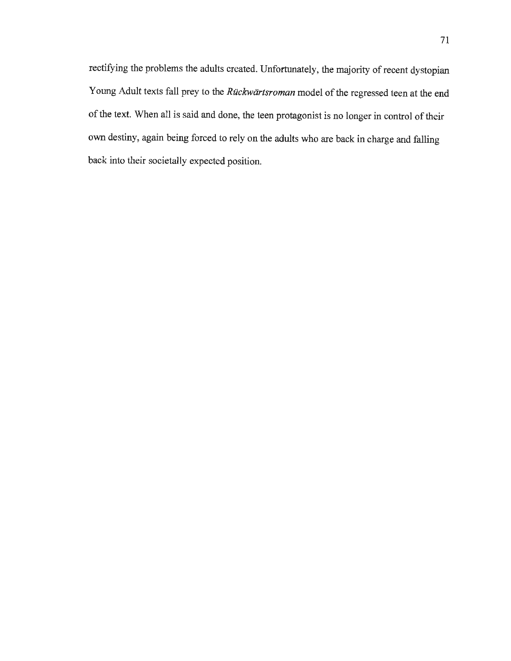rectifying the problems the adults created. Unfortunately, the majority of recent dystopian Young Adult texts fall prey to the *Riickwartsroman* model of the regressed teen at the end of the text. When all is said and done, the teen protagonist is no longer in control of their own destiny, again being forced to rely on the adults who are back in charge and falling back into their societally expected position.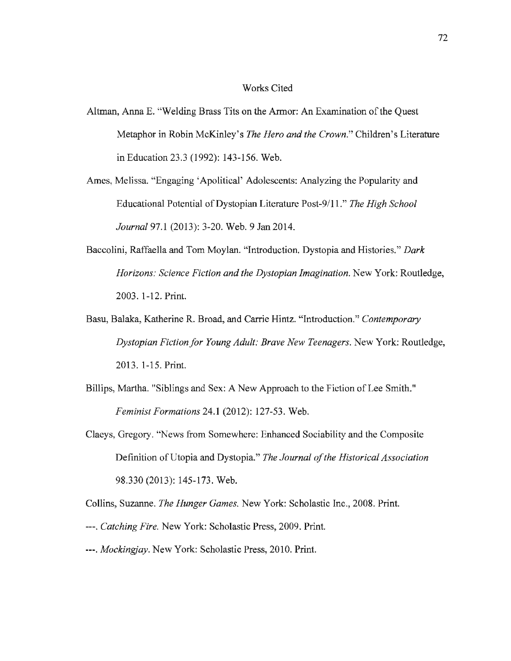## Works Cited

- Altman, Anna E. "Welding Brass Tits on the Armor: An Examination of the Quest Metaphor in Robin McKinley's *The Hero and the Crown."* Children's Literature inEducation23.3 (1992): 143-156. Web.
- Ames, Melissa. "Engaging 'Apolitical' Adolescents: Analyzing the Popularity and Educational Potential ofDystopian Literature Post-9/11." *The High School Journal* 97.l (2013): 3-20. Web. 9 Jan 2014.
- Baccolini, Raffaella and Tom Moylan. "Introduction. Dystopia and Histories." *Dark Horizons: Science Fiction and the Dystopian Imagination.* New York: Routledge, 2003. 1-12. Print.
- Basu, Balaka, Katherine R. Broad, and Carrie Hintz. "Introduction." *Contemporary Dystopian Fiction/or Young Adult: Brave New Teenagers.* New York: Routledge, 2013. 1-15. Print.
- Billips, Martha. "Siblings and Sex: A New Approach to the Fiction of Lee Smith." *Feminist Formations* 24.I (2012): 127-53. Web.
- Claeys, Gregory. "News from Somewhere: Enhanced Sociability and the Composite Definition of Utopia and Dystopia." *The Journal of the Historical Association*  98.330 (2013): 145-173. Web.

Collins, Suzanne. *The Hunger Games.* New York: Scholastic Inc., 2008. Print.

- ---. *Catching Fire.* New York: Scholastic Press, 2009. Print.
- ---. *Mockingjay.* New York: Scholastic Press, 2010. Print.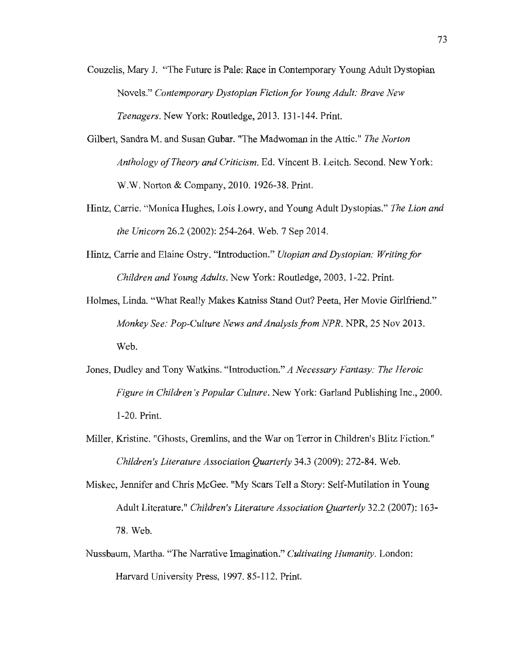- Couzelis, Mary J. "The Future is Pale: Race in Contemporary Young Adult Dystopian Novels." *Contemporary Dystopian Fiction for Young Adult: Brave New Teenagers.* New York: Routledge, 2013. 131-144. Print.
- Gilbert, Sandra M. and Susan Gubar. "The Madwoman in the Attic." *The Norton Anthology of Theory and Criticism.* Ed. Vincent B. Leitch. Second. New York: W.W. Norton & Company, 2010. 1926-38. Print.
- Hintz, Carrie. "Monica Hughes, Lois Lowry, and Young Adult Dystopias." *The Lion and the Unicorn* 26.2 (2002): 254-264. Web. 7 Sep 2014.
- Hintz, Carrie and Elaine Ostry. "Introduction." *Utopian and Dystopian: Writing/or Children and Young Adults.* New York: Routledge, 2003. 1-22. Print.
- Holmes, Linda. "What Really Makes Katniss Stand Out? Peeta, Her Movie Girlfriend." *Monkey See: Pop-Culture News and Analysis from NPR.* NPR, 25 Nov 2013. Web.
- Jones, Dudley and Tony Watkins. "Introduction." *A Necessary Fantasy: The Heroic Figure in Children 's Popular Culture.* New York: Garland Publishing Inc., 2000. 1-20. Print.
- Miller, Kristine. "Ghosts, Gremlins, and the War on Terror in Children's Blitz Fiction." *Children's Literature Association Quarterly* 34.3 (2009): 272-84. Web.
- Miskec, Jennifer and Chris McGee. "My Scars Tell a Story: Self-Mutilation in Young Adult Literature.'' *Children's Literature Association Quarterly* 32.2 (2007): 163- 78. Web.
- Nussbaum, Martha. "The Narrative Imagination." *Cultivating Humanity.* London: Harvard University Press, 1997. 85-112. Print.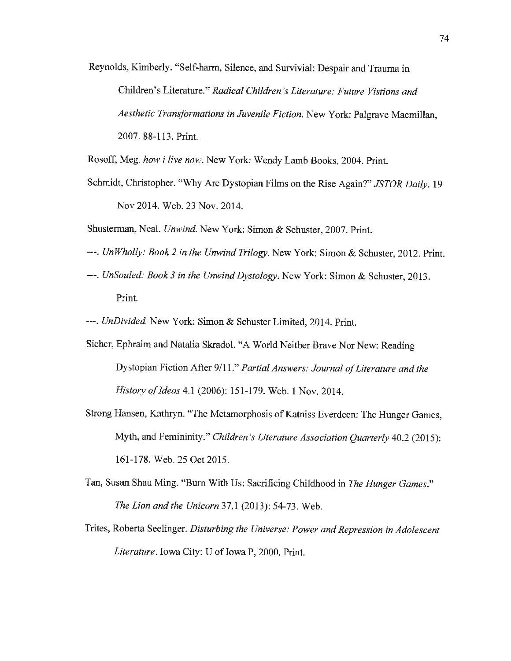Reynolds, Kimberly. "Self-harm, Silence, and Survivial: Despair and Trauma in Children's Literature." *Radical Children's Literature: Future Vistions and Aesthetic Transformations in Juvenile Fiction.* New York: Palgrave Macmillan, 2007. 88-113. Print.

Rosoff, Meg. *how* i *live now.* New York: Wendy Lamb Books, 2004. Print.

- Schmidt, Christopher. "Why Are Dystopian Films on the Rise Again?" *JSTOR Daily.* 19 Nov 2014. Web. 23 Nov. 2014.
- Shusterman, Neal. *Unwind.* New York: Simon & Schuster, 2007. Print.
- ---. *Un Wholly: Book 2 in the Unwind Trilogy.* New York: Simon & Schuster, 2012. Print.
- ---. *UnSouled: Book 3 in the Unwind Dystology.* New York: Simon & Schuster, 2013. Print.
- ---. *UnDivided.* New York: Simon & Schuster Limited, 2014. Print.
- Sicher, Ephraim and Natalia Skradol. "A World Neither Brave Nor New: Reading Dystopian Fiction After 9/11." *Partial Answers: Journal of Literature and the Historyofldeas4.1* (2006): 151-179. Web. 1 Nov. 2014.
- Strong Hansen, Kathryn. "The Metamorphosis of Katniss Everdeen: The Hunger Games, Myth, and Femininity." *Children's Literature Association Quarterly* 40.2 (2015): 161-178. Web. 25 Oct 2015.
- Tan, Susan Shau Ming. "Burn With Us: Sacrificing Childhood in *The Hunger Games." The Lion and the Unicorn* 37.I (2013): 54-73. Web.
- Trites, Roberta Seelinger. *Disturbing the Universe: Power and Repression in Adolescent*  Literature. Iowa City: U of Iowa P, 2000. Print.